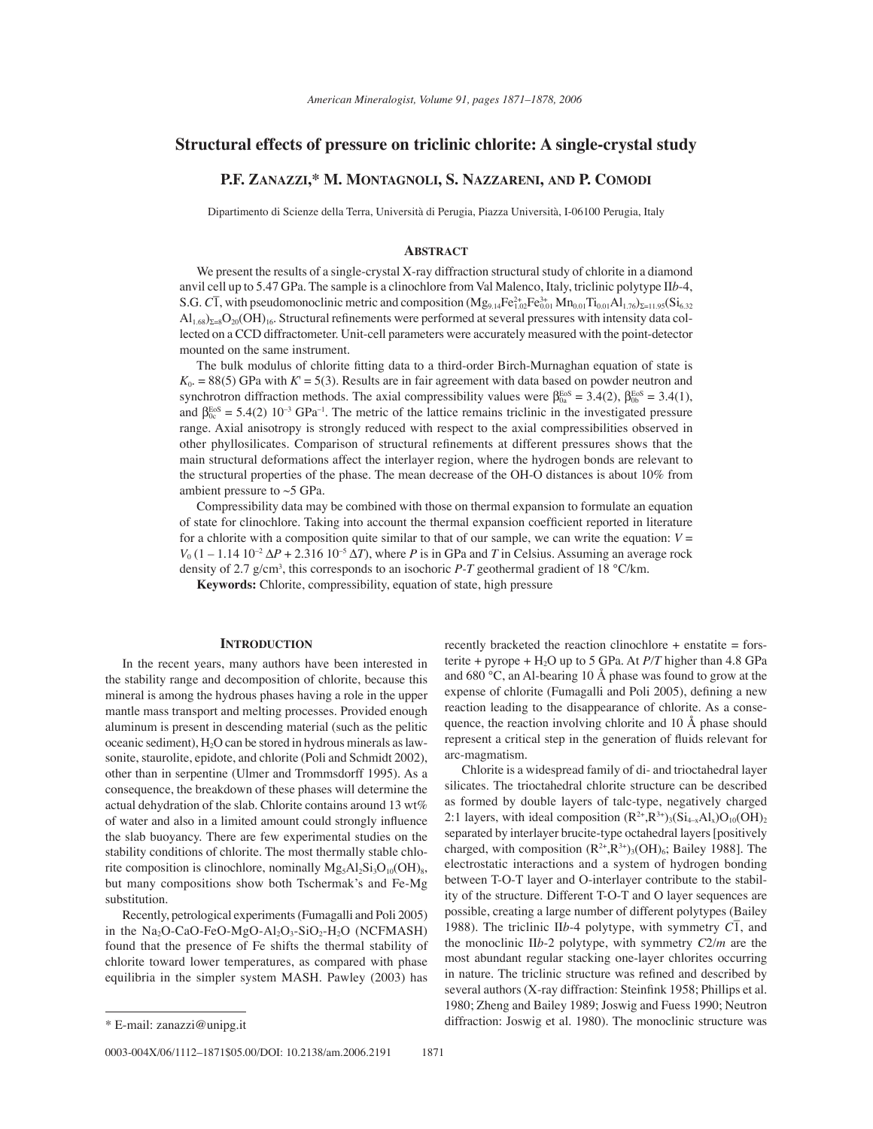# **Structural effects of pressure on triclinic chlorite: A single-crystal study**

# **P.F. ZANAZZI,\* M. MONTAGNOLI, S. NAZZARENI, AND P. COMODI**

Dipartimento di Scienze della Terra, Università di Perugia, Piazza Università, I-06100 Perugia, Italy

### **ABSTRACT**

We present the results of a single-crystal X-ray diffraction structural study of chlorite in a diamond anvil cell up to 5.47 GPa. The sample is a clinochlore from Val Malenco, Italy, triclinic polytype II*b*-4,  $S.G. C\overline{1}$ , with pseudomonoclinic metric and composition  $(Mg_{9.14}Fe_{1.02}^{2+}Fe_{0.01}^{3}Mn_{0.01}Ti_{0.01}Al_{1.76}\Sigma_{=11.95}(Si_{6.32}^{2+10.01}Si_{1.01}^{2+1.01}Si_{1.01}^{2+1.01}Si_{1.01}^{2+1.01}Si_{1.01}^{2+1.01}Si_{1.01}^{2+1.01}Si_{1.01}^{2+$  $\text{Al}_{1.68}$ )<sub> $\text{z}_{=8}$ </sub>O<sub>20</sub>(OH)<sub>16</sub>. Structural refinements were performed at several pressures with intensity data collected on a CCD diffractometer. Unit-cell parameters were accurately measured with the point-detector mounted on the same instrument.

The bulk modulus of chlorite fitting data to a third-order Birch-Murnaghan equation of state is  $K_0$ . = 88(5) GPa with  $K' = 5(3)$ . Results are in fair agreement with data based on powder neutron and synchrotron diffraction methods. The axial compressibility values were  $\beta_{0a}^{\text{EoS}} = 3.4(2)$ ,  $\beta_{0b}^{\text{EoS}} = 3.4(1)$ , and  $\beta_{0c}^{EoS} = 5.4(2) 10^{-3} GPa^{-1}$ . The metric of the lattice remains triclinic in the investigated pressure range. Axial anisotropy is strongly reduced with respect to the axial compressibilities observed in other phyllosilicates. Comparison of structural refinements at different pressures shows that the main structural deformations affect the interlayer region, where the hydrogen bonds are relevant to the structural properties of the phase. The mean decrease of the OH-O distances is about 10% from ambient pressure to  $~5$  GPa.

Compressibility data may be combined with those on thermal expansion to formulate an equation of state for clinochlore. Taking into account the thermal expansion coefficient reported in literature for a chlorite with a composition quite similar to that of our sample, we can write the equation:  $V =$  $V_0$  (1 – 1.14 10<sup>-2</sup>  $\Delta P$  + 2.316 10<sup>-5</sup>  $\Delta T$ ), where *P* is in GPa and *T* in Celsius. Assuming an average rock density of 2.7 g/cm3 , this corresponds to an isochoric *P-T* geothermal gradient of 18 °C/km.

**Keywords:** Chlorite, compressibility, equation of state, high pressure

## **INTRODUCTION**

In the recent years, many authors have been interested in the stability range and decomposition of chlorite, because this mineral is among the hydrous phases having a role in the upper mantle mass transport and melting processes. Provided enough aluminum is present in descending material (such as the pelitic oceanic sediment),  $H_2O$  can be stored in hydrous minerals as lawsonite, staurolite, epidote, and chlorite (Poli and Schmidt 2002), other than in serpentine (Ulmer and Trommsdorff 1995). As a consequence, the breakdown of these phases will determine the actual dehydration of the slab. Chlorite contains around 13 wt% of water and also in a limited amount could strongly influence the slab buoyancy. There are few experimental studies on the stability conditions of chlorite. The most thermally stable chlorite composition is clinochlore, nominally  $Mg_5Al_2Si_3O_{10}(OH)_8$ , but many compositions show both Tschermak's and Fe-Mg substitution.

Recently, petrological experiments (Fumagalli and Poli 2005) in the Na<sub>2</sub>O-CaO-FeO-MgO-Al<sub>2</sub>O<sub>3</sub>-SiO<sub>2</sub>-H<sub>2</sub>O (NCFMASH) found that the presence of Fe shifts the thermal stability of chlorite toward lower temperatures, as compared with phase equilibria in the simpler system MASH. Pawley (2003) has

0003-004X/06/1112-1871\$05.00/DOI: 10.2138/am.2006.2191 1871

recently bracketed the reaction clinochlore + enstatite = forsterite + pyrope +  $H_2O$  up to 5 GPa. At *P*/T higher than 4.8 GPa and 680 °C, an Al-bearing 10 Å phase was found to grow at the expense of chlorite (Fumagalli and Poli 2005), defining a new reaction leading to the disappearance of chlorite. As a consequence, the reaction involving chlorite and 10 Å phase should represent a critical step in the generation of fluids relevant for arc-magmatism.

Chlorite is a widespread family of di- and trioctahedral layer silicates. The trioctahedral chlorite structure can be described as formed by double layers of talc-type, negatively charged 2:1 layers, with ideal composition  $(R^{2+}, R^{3+})_3(Si_{4-x}Al_x)O_{10}(OH)_2$ separated by interlayer brucite-type octahedral layers [positively charged, with composition  $(R^{2+}, R^{3+})_3(OH)_6$ ; Bailey 1988]. The electrostatic interactions and a system of hydrogen bonding between T-O-T layer and O-interlayer contribute to the stability of the structure. Different T-O-T and O layer sequences are possible, creating a large number of different polytypes (Bailey 1988). The triclinic II*b*-4 polytype, with symmetry *C*<sup>1</sup>, and the monoclinic II*b*-2 polytype, with symmetry *C*2/*m* are the most abundant regular stacking one-layer chlorites occurring in nature. The triclinic structure was refined and described by several authors (X-ray diffraction: Steinfink 1958; Phillips et al. 1980; Zheng and Bailey 1989; Joswig and Fuess 1990; Neutron \* E-mail: zanazzi@unipg.it diffraction: Joswig et al. 1980). The monoclinic structure was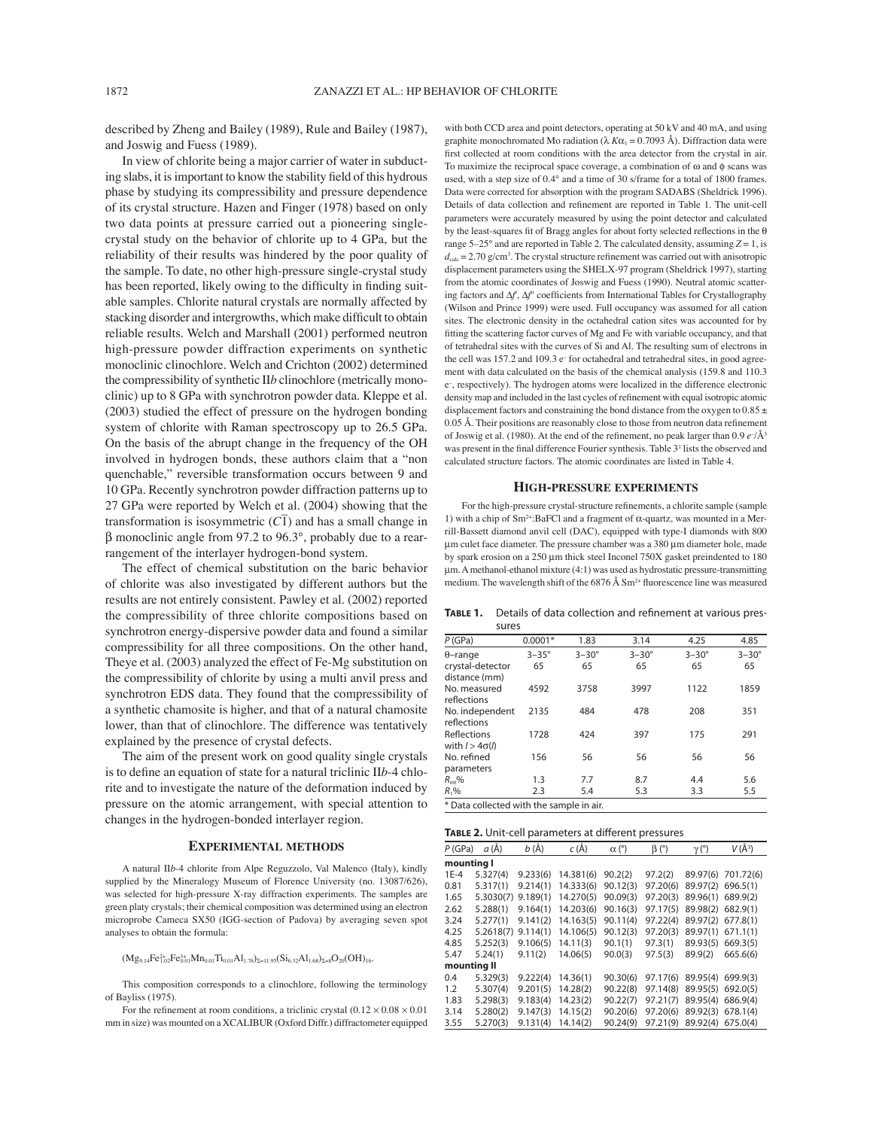described by Zheng and Bailey (1989), Rule and Bailey (1987), and Joswig and Fuess (1989).

In view of chlorite being a major carrier of water in subducting slabs, it is important to know the stability field of this hydrous phase by studying its compressibility and pressure dependence of its crystal structure. Hazen and Finger (1978) based on only two data points at pressure carried out a pioneering singlecrystal study on the behavior of chlorite up to 4 GPa, but the reliability of their results was hindered by the poor quality of the sample. To date, no other high-pressure single-crystal study has been reported, likely owing to the difficulty in finding suitable samples. Chlorite natural crystals are normally affected by stacking disorder and intergrowths, which make difficult to obtain reliable results. Welch and Marshall (2001) performed neutron high-pressure powder diffraction experiments on synthetic monoclinic clinochlore. Welch and Crichton (2002) determined the compressibility of synthetic II*b* clinochlore (metrically monoclinic) up to 8 GPa with synchrotron powder data. Kleppe et al. (2003) studied the effect of pressure on the hydrogen bonding system of chlorite with Raman spectroscopy up to 26.5 GPa. On the basis of the abrupt change in the frequency of the OH involved in hydrogen bonds, these authors claim that a "non quenchable," reversible transformation occurs between 9 and 10 GPa. Recently synchrotron powder diffraction patterns up to 27 GPa were reported by Welch et al. (2004) showing that the  $\mathbb{R}^n$  of a were reported by weight et al. (2003) showing diat the transformation is isosymmetric  $(\overline{C_1})$  and has a small change in β monoclinic angle from 97.2 to 96.3°, probably due to a rearrangement of the interlayer hydrogen-bond system.

The effect of chemical substitution on the baric behavior of chlorite was also investigated by different authors but the results are not entirely consistent. Pawley et al. (2002) reported the compressibility of three chlorite compositions based on synchrotron energy-dispersive powder data and found a similar compressibility for all three compositions. On the other hand, Theye et al. (2003) analyzed the effect of Fe-Mg substitution on the compressibility of chlorite by using a multi anvil press and synchrotron EDS data. They found that the compressibility of a synthetic chamosite is higher, and that of a natural chamosite lower, than that of clinochlore. The difference was tentatively explained by the presence of crystal defects.

The aim of the present work on good quality single crystals is to define an equation of state for a natural triclinic IIb-4 chlorite and to investigate the nature of the deformation induced by pressure on the atomic arrangement, with special attention to changes in the hydrogen-bonded interlayer region.

### **EXPERIMENTAL METHODS**

A natural II*b*-4 chlorite from Alpe Reguzzolo, Val Malenco (Italy), kindly supplied by the Mineralogy Museum of Florence University (no. 13087/626), was selected for high-pressure X-ray diffraction experiments. The samples are green platy crystals; their chemical composition was determined using an electron microprobe Cameca SX50 (IGG-section of Padova) by averaging seven spot analyses to obtain the formula:

 $(Mg_{9.14}Fe_{1.02}^{2+}Fe_{0.01}^{3+}Mn_{0.01}Ti_{0.01}Al_{1.76})_{\Sigma=11.95}(Si_{6.32}Al_{1.68})_{\Sigma=8}O_{20}(OH)_{16}$ 

This composition corresponds to a clinochlore, following the terminology of Bayliss (1975).

For the refinement at room conditions, a triclinic crystal  $(0.12 \times 0.08 \times 0.01$ mm in size) was mounted on a XCALIBUR (Oxford Diffr.) diffractometer equipped

with both CCD area and point detectors, operating at 50 kV and 40 mA, and using graphite monochromated Mo radiation ( $\lambda$  K $\alpha_1 = 0.7093$  Å). Diffraction data were first collected at room conditions with the area detector from the crystal in air. To maximize the reciprocal space coverage, a combination of ω and ϕ scans was used, with a step size of 0.4° and a time of 30 s/frame for a total of 1800 frames. Data were corrected for absorption with the program SADABS (Sheldrick 1996). Details of data collection and refinement are reported in Table 1. The unit-cell parameters were accurately measured by using the point detector and calculated by the least-squares fit of Bragg angles for about forty selected reflections in the  $\theta$ range  $5-25^\circ$  and are reported in Table 2. The calculated density, assuming  $Z = 1$ , is  $d_{\text{calc}} = 2.70 \text{ g/cm}^3$ . The crystal structure refinement was carried out with anisotropic displacement parameters using the SHELX-97 program (Sheldrick 1997), starting from the atomic coordinates of Joswig and Fuess (1990). Neutral atomic scattering factors and ∆*f*', ∆*f*<sup>"</sup> coefficients from International Tables for Crystallography (Wilson and Prince 1999) were used. Full occupancy was assumed for all cation sites. The electronic density in the octahedral cation sites was accounted for by fitting the scattering factor curves of Mg and Fe with variable occupancy, and that of tetrahedral sites with the curves of Si and Al. The resulting sum of electrons in the cell was 157.2 and 109.3 e<sup>-</sup> for octahedral and tetrahedral sites, in good agreement with data calculated on the basis of the chemical analysis (159.8 and 110.3 e<sup>-</sup>, respectively). The hydrogen atoms were localized in the difference electronic density map and included in the last cycles of refinement with equal isotropic atomic displacement factors and constraining the bond distance from the oxygen to  $0.85 \pm$ 0.05 Å. Their positions are reasonably close to those from neutron data refinement of Joswig et al. (1980). At the end of the refinement, no peak larger than  $0.9 e^{-}/\text{\AA}^3$ was present in the final difference Fourier synthesis. Table 3<sup>1</sup> lists the observed and calculated structure factors. The atomic coordinates are listed in Table 4.

#### **HIGH-PRESSURE EXPERIMENTS**

For the high-pressure crystal-structure refinements, a chlorite sample (sample 1) with a chip of  $Sm^{2+}$ :BaFCl and a fragment of α-quartz, was mounted in a Merrill-Bassett diamond anvil cell (DAC), equipped with type-I diamonds with 800 μm culet face diameter. The pressure chamber was a 380 μm diameter hole, made by spark erosion on a 250 μm thick steel Inconel 750X gasket preindented to 180 μm. A methanol-ethanol mixture (4:1) was used as hydrostatic pressure-transmitting medium. The wavelength shift of the  $6876 \text{ Å } \text{Sm}^{2+}$  fluorescence line was measured

TABLE 1. Details of data collection and refinement at various pressures

| P(GPa)                               | $0.0001*$    | 1.83         | 3.14         | 4.25         | 4.85         |
|--------------------------------------|--------------|--------------|--------------|--------------|--------------|
| $\theta$ –range                      | $3-35^\circ$ | $3-30^\circ$ | $3-30^\circ$ | $3-30^\circ$ | $3-30^\circ$ |
| crystal-detector<br>distance (mm)    | 65           | 65           | 65           | 65           | 65           |
| No. measured<br>reflections          | 4592         | 3758         | 3997         | 1122         | 1859         |
| No. independent<br>reflections       | 2135         | 484          | 478          | 208          | 351          |
| Reflections<br>with $l > 4\sigma(l)$ | 1728         | 424          | 397          | 175          | 291          |
| No. refined<br>parameters            | 156          | 56           | 56           | 56           | 56           |
| $R_{\rm int}$ %                      | 1.3          | 7.7          | 8.7          | 4.4          | 5.6          |
| $R_1\%$                              | 2.3          | 5.4          | 5.3          | 3.3          | 5.5          |
| $\sim$ $\sim$                        |              |              |              |              |              |

\* Data collected with the sample in air.

| <b>TABLE 2.</b> Unit-cell parameters at different pressures |           |          |           |                        |             |              |            |  |
|-------------------------------------------------------------|-----------|----------|-----------|------------------------|-------------|--------------|------------|--|
| P(GPa)                                                      | a (Å)     | $b(\AA)$ | $c(\AA)$  | $\alpha$ ( $\degree$ ) | $\beta$ (°) | $\gamma$ (°) | $V(\AA^3)$ |  |
| mounting I                                                  |           |          |           |                        |             |              |            |  |
| $1E-4$                                                      | 5.327(4)  | 9.233(6) | 14.381(6) | 90.2(2)                | 97.2(2)     | 89.97(6)     | 701.72(6)  |  |
| 0.81                                                        | 5.317(1)  | 9.214(1) | 14.333(6) | 90.12(3)               | 97.20(6)    | 89.97(2)     | 696.5(1)   |  |
| 1.65                                                        | 5.3030(7) | 9.189(1) | 14.270(5) | 90.09(3)               | 97.20(3)    | 89.96(1)     | 689.9(2)   |  |
| 2.62                                                        | 5.288(1)  | 9.164(1) | 14.203(6) | 90.16(3)               | 97.17(5)    | 89.98(2)     | 682.9(1)   |  |
| 3.24                                                        | 5.277(1)  | 9.141(2) | 14.163(5) | 90.11(4)               | 97.22(4)    | 89.97(2)     | 677.8(1)   |  |
| 4.25                                                        | 5.2618(7) | 9.114(1) | 14.106(5) | 90.12(3)               | 97.20(3)    | 89.97(1)     | 671.1(1)   |  |
| 4.85                                                        | 5.252(3)  | 9.106(5) | 14.11(3)  | 90.1(1)                | 97.3(1)     | 89.93(5)     | 669.3(5)   |  |
| 5.47                                                        | 5.24(1)   | 9.11(2)  | 14.06(5)  | 90.0(3)                | 97.5(3)     | 89.9(2)      | 665.6(6)   |  |
| mounting II                                                 |           |          |           |                        |             |              |            |  |
| 0.4                                                         | 5.329(3)  | 9.222(4) | 14.36(1)  | 90.30(6)               | 97.17(6)    | 89.95(4)     | 699.9(3)   |  |
| 1.2                                                         | 5.307(4)  | 9.201(5) | 14.28(2)  | 90.22(8)               | 97.14(8)    | 89.95(5)     | 692.0(5)   |  |
| 1.83                                                        | 5.298(3)  | 9.183(4) | 14.23(2)  | 90.22(7)               | 97.21(7)    | 89.95(4)     | 686.9(4)   |  |
| 3.14                                                        | 5.280(2)  | 9.147(3) | 14.15(2)  | 90.20(6)               | 97.20(6)    | 89.92(3)     | 678.1(4)   |  |
| 3.55                                                        | 5.270(3)  | 9.131(4) | 14.14(2)  | 90.24(9)               | 97.21(9)    | 89.92(4)     | 675.0(4)   |  |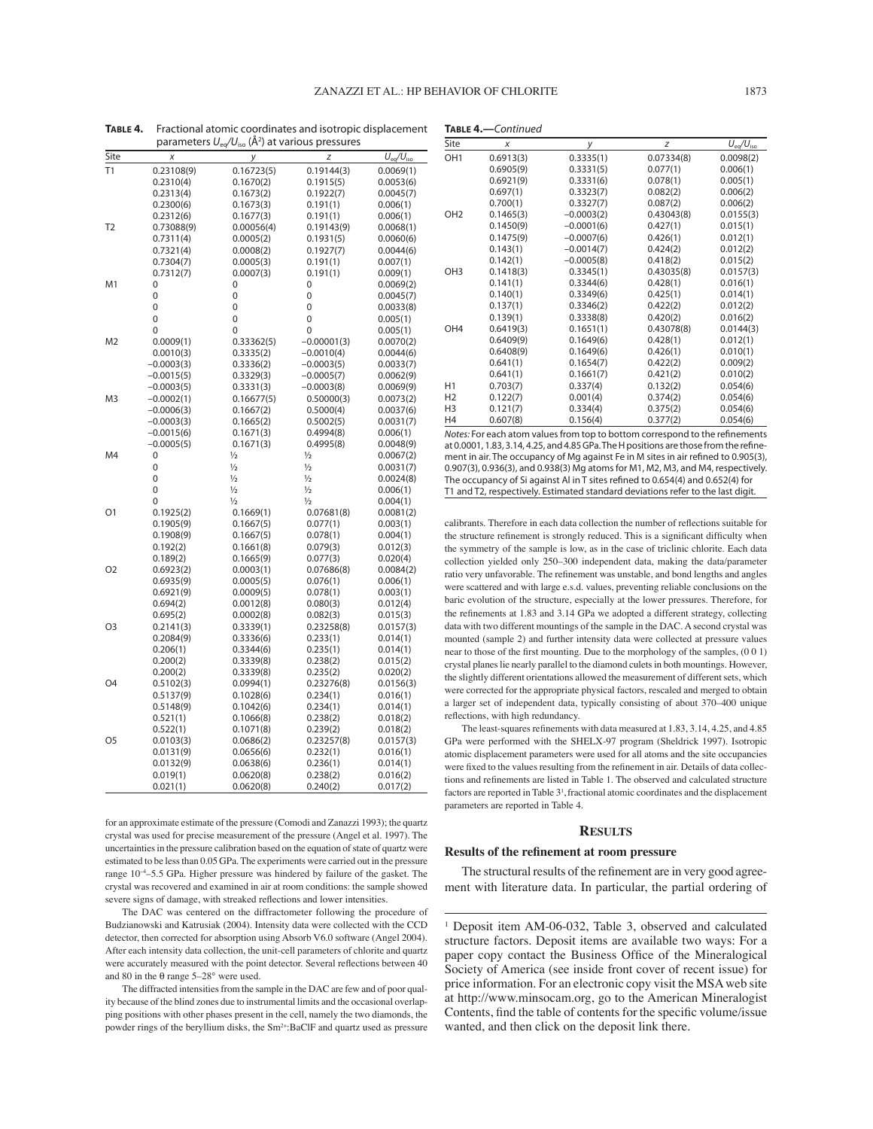**TABLE 4.—***Continued*

|      |                       | 12O /-                 |                      |                      |
|------|-----------------------|------------------------|----------------------|----------------------|
| Site | Х                     | у                      | Ζ                    | $U_{eq}/U_{iso}$     |
| T1   | 0.23108(9)            | 0.16723(5)             | 0.19144(3)           | 0.0069(1)            |
|      | 0.2310(4)             | 0.1670(2)              | 0.1915(5)            | 0.0053(6)            |
|      | 0.2313(4)             | 0.1673(2)              | 0.1922(7)            | 0.0045(7)            |
|      | 0.2300(6)             | 0.1673(3)              | 0.191(1)             | 0.006(1)             |
|      | 0.2312(6)             | 0.1677(3)              | 0.191(1)             | 0.006(1)             |
| T2   | 0.73088(9)            | 0.00056(4)             | 0.19143(9)           | 0.0068(1)            |
|      | 0.7311(4)             | 0.0005(2)              | 0.1931(5)            | 0.0060(6)            |
|      | 0.7321(4)             | 0.0008(2)              | 0.1927(7)            | 0.0044(6)            |
|      | 0.7304(7)             | 0.0005(3)              | 0.191(1)             | 0.007(1)             |
|      | 0.7312(7)             | 0.0007(3)              | 0.191(1)             | 0.009(1)             |
| M1   | 0                     | 0                      | 0                    | 0.0069(2)            |
|      | 0                     | 0                      | 0                    | 0.0045(7)            |
|      | 0                     | 0                      | 0                    | 0.0033(8)            |
|      | 0                     | $\mathbf 0$            | 0                    | 0.005(1)             |
|      | 0                     | 0                      | 0                    | 0.005(1)             |
| M2   | 0.0009(1)             | 0.33362(5)             | $-0.00001(3)$        | 0.0070(2)            |
|      | 0.0010(3)             | 0.3335(2)              | $-0.0010(4)$         | 0.0044(6)            |
|      | $-0.0003(3)$          | 0.3336(2)              | $-0.0003(5)$         | 0.0033(7)            |
|      | $-0.0015(5)$          | 0.3329(3)              | $-0.0005(7)$         | 0.0062(9)            |
|      | $-0.0003(5)$          | 0.3331(3)              | $-0.0003(8)$         | 0.0069(9)            |
| M3   | $-0.0002(1)$          | 0.16677(5)             | 0.50000(3)           | 0.0073(2)            |
|      | $-0.0006(3)$          | 0.1667(2)              | 0.5000(4)            | 0.0037(6)            |
|      | $-0.0003(3)$          | 0.1665(2)              | 0.5002(5)            | 0.0031(7)            |
|      | $-0.0015(6)$          | 0.1671(3)              | 0.4994(8)            | 0.006(1)             |
|      | $-0.0005(5)$          | 0.1671(3)              | 0.4995(8)            | 0.0048(9)            |
| M4   | 0                     | $\frac{1}{2}$          | $\frac{1}{2}$        | 0.0067(2)            |
|      | 0                     | $\frac{1}{2}$          | $\frac{1}{2}$        | 0.0031(7)            |
|      | 0                     | $\frac{1}{2}$          | $\frac{1}{2}$        | 0.0024(8)            |
|      | 0                     | $\frac{1}{2}$          | $\frac{1}{2}$        | 0.006(1)             |
|      | 0                     | $\frac{1}{2}$          | $\frac{1}{2}$        | 0.004(1)             |
| O1   | 0.1925(2)             | 0.1669(1)              | 0.07681(8)           | 0.0081(2)            |
|      | 0.1905(9)             | 0.1667(5)              | 0.077(1)             | 0.003(1)             |
|      | 0.1908(9)<br>0.192(2) | 0.1667(5)<br>0.1661(8) | 0.078(1)<br>0.079(3) | 0.004(1)             |
|      | 0.189(2)              | 0.1665(9)              | 0.077(3)             | 0.012(3)<br>0.020(4) |
| O2   | 0.6923(2)             | 0.0003(1)              | 0.07686(8)           | 0.0084(2)            |
|      | 0.6935(9)             | 0.0005(5)              | 0.076(1)             | 0.006(1)             |
|      | 0.6921(9)             | 0.0009(5)              | 0.078(1)             | 0.003(1)             |
|      | 0.694(2)              | 0.0012(8)              | 0.080(3)             | 0.012(4)             |
|      | 0.695(2)              | 0.0002(8)              | 0.082(3)             | 0.015(3)             |
| O3   | 0.2141(3)             | 0.3339(1)              | 0.23258(8)           | 0.0157(3)            |
|      | 0.2084(9)             | 0.3336(6)              | 0.233(1)             | 0.014(1)             |
|      | 0.206(1)              | 0.3344(6)              | 0.235(1)             | 0.014(1)             |
|      | 0.200(2)              | 0.3339(8)              | 0.238(2)             | 0.015(2)             |
|      | 0.200(2)              | 0.3339(8)              | 0.235(2)             | 0.020(2)             |
| O4   | 0.5102(3)             | 0.0994(1)              | 0.23276(8)           | 0.0156(3)            |
|      | 0.5137(9)             | 0.1028(6)              | 0.234(1)             | 0.016(1)             |
|      | 0.5148(9)             | 0.1042(6)              | 0.234(1)             | 0.014(1)             |
|      | 0.521(1)              | 0.1066(8)              | 0.238(2)             | 0.018(2)             |
|      | 0.522(1)              | 0.1071(8)              | 0.239(2)             | 0.018(2)             |
| O5   | 0.0103(3)             | 0.0686(2)              | 0.23257(8)           | 0.0157(3)            |
|      | 0.0131(9)             | 0.0656(6)              | 0.232(1)             | 0.016(1)             |
|      | 0.0132(9)             | 0.0638(6)              | 0.236(1)             | 0.014(1)             |
|      | 0.019(1)              | 0.0620(8)              | 0.238(2)             | 0.016(2)             |
|      | 0.021(1)              | 0.0620(8)              | 0.240(2)             | 0.017(2)             |

**TABLE 4.** Fractional atomic coordinates and isotropic displacement parameters  $U_{eq}/U_{iso}$  (Å<sup>2</sup>) at various pressures

for an approximate estimate of the pressure (Comodi and Zanazzi 1993); the quartz crystal was used for precise measurement of the pressure (Angel et al. 1997). The uncertainties in the pressure calibration based on the equation of state of quartz were estimated to be less than 0.05 GPa. The experiments were carried out in the pressure range  $10^{-4}$ –5.5 GPa. Higher pressure was hindered by failure of the gasket. The crystal was recovered and examined in air at room conditions: the sample showed severe signs of damage, with streaked reflections and lower intensities.

The DAC was centered on the diffractometer following the procedure of Budzianowski and Katrusiak (2004). Intensity data were collected with the CCD detector, then corrected for absorption using Absorb V6.0 software (Angel 2004). After each intensity data collection, the unit-cell parameters of chlorite and quartz were accurately measured with the point detector. Several reflections between 40 and 80 in the  $\theta$  range 5–28° were used.

The diffracted intensities from the sample in the DAC are few and of poor quality because of the blind zones due to instrumental limits and the occasional overlapping positions with other phases present in the cell, namely the two diamonds, the powder rings of the beryllium disks, the Sm<sup>2+</sup>:BaClF and quartz used as pressure

| Site            | X         | у            | z          | $U_{\text{eq}}/U_{\text{iso}}$ |
|-----------------|-----------|--------------|------------|--------------------------------|
| OH <sub>1</sub> | 0.6913(3) | 0.3335(1)    | 0.07334(8) | 0.0098(2)                      |
|                 | 0.6905(9) | 0.3331(5)    | 0.077(1)   | 0.006(1)                       |
|                 | 0.6921(9) | 0.3331(6)    | 0.078(1)   | 0.005(1)                       |
|                 | 0.697(1)  | 0.3323(7)    | 0.082(2)   | 0.006(2)                       |
|                 | 0.700(1)  | 0.3327(7)    | 0.087(2)   | 0.006(2)                       |
| OH <sub>2</sub> | 0.1465(3) | $-0.0003(2)$ | 0.43043(8) | 0.0155(3)                      |
|                 | 0.1450(9) | $-0.0001(6)$ | 0.427(1)   | 0.015(1)                       |
|                 | 0.1475(9) | $-0.0007(6)$ | 0.426(1)   | 0.012(1)                       |
|                 | 0.143(1)  | $-0.0014(7)$ | 0.424(2)   | 0.012(2)                       |
|                 | 0.142(1)  | $-0.0005(8)$ | 0.418(2)   | 0.015(2)                       |
| OH <sub>3</sub> | 0.1418(3) | 0.3345(1)    | 0.43035(8) | 0.0157(3)                      |
|                 | 0.141(1)  | 0.3344(6)    | 0.428(1)   | 0.016(1)                       |
|                 | 0.140(1)  | 0.3349(6)    | 0.425(1)   | 0.014(1)                       |
|                 | 0.137(1)  | 0.3346(2)    | 0.422(2)   | 0.012(2)                       |
|                 | 0.139(1)  | 0.3338(8)    | 0.420(2)   | 0.016(2)                       |
| OH <sub>4</sub> | 0.6419(3) | 0.1651(1)    | 0.43078(8) | 0.0144(3)                      |
|                 | 0.6409(9) | 0.1649(6)    | 0.428(1)   | 0.012(1)                       |
|                 | 0.6408(9) | 0.1649(6)    | 0.426(1)   | 0.010(1)                       |
|                 | 0.641(1)  | 0.1654(7)    | 0.422(2)   | 0.009(2)                       |
|                 | 0.641(1)  | 0.1661(7)    | 0.421(2)   | 0.010(2)                       |
| H1              | 0.703(7)  | 0.337(4)     | 0.132(2)   | 0.054(6)                       |
| H <sub>2</sub>  | 0.122(7)  | 0.001(4)     | 0.374(2)   | 0.054(6)                       |
| H <sub>3</sub>  | 0.121(7)  | 0.334(4)     | 0.375(2)   | 0.054(6)                       |
| H4              | 0.607(8)  | 0.156(4)     | 0.377(2)   | 0.054(6)                       |

*Notes:* For each atom values from top to bottom correspond to the refinements at 0.0001, 1.83, 3.14, 4.25, and 4.85 GPa. The H positions are those from the refinement in air. The occupancy of Mg against Fe in M sites in air refined to 0.905(3), 0.907(3), 0.936(3), and 0.938(3) Mg atoms for M1, M2, M3, and M4, respectively. The occupancy of Si against Al in T sites refined to 0.654(4) and 0.652(4) for T1 and T2, respectively. Estimated standard deviations refer to the last digit.

calibrants. Therefore in each data collection the number of reflections suitable for the structure refinement is strongly reduced. This is a significant difficulty when the symmetry of the sample is low, as in the case of triclinic chlorite. Each data collection yielded only 250-300 independent data, making the data/parameter ratio very unfavorable. The refinement was unstable, and bond lengths and angles were scattered and with large e.s.d. values, preventing reliable conclusions on the baric evolution of the structure, especially at the lower pressures. Therefore, for the refinements at 1.83 and 3.14 GPa we adopted a different strategy, collecting data with two different mountings of the sample in the DAC. A second crystal was mounted (sample 2) and further intensity data were collected at pressure values near to those of the first mounting. Due to the morphology of the samples,  $(0\ 0\ 1)$ crystal planes lie nearly parallel to the diamond culets in both mountings. However, the slightly different orientations allowed the measurement of different sets, which were corrected for the appropriate physical factors, rescaled and merged to obtain a larger set of independent data, typically consisting of about 370-400 unique reflections, with high redundancy.

The least-squares refinements with data measured at 1.83, 3.14, 4.25, and 4.85 GPa were performed with the SHELX-97 program (Sheldrick 1997). Isotropic atomic displacement parameters were used for all atoms and the site occupancies were fixed to the values resulting from the refinement in air. Details of data collections and refinements are listed in Table 1. The observed and calculated structure factors are reported in Table 3<sup>1</sup>, fractional atomic coordinates and the displacement parameters are reported in Table 4.

#### **RESULTS**

### **Results of the refinement at room pressure**

The structural results of the refinement are in very good agreement with literature data. In particular, the partial ordering of

<sup>&</sup>lt;sup>1</sup> Deposit item AM-06-032, Table 3, observed and calculated structure factors. Deposit items are available two ways: For a paper copy contact the Business Office of the Mineralogical Society of America (see inside front cover of recent issue) for price information. For an electronic copy visit the MSA web site at http://www.minsocam.org, go to the American Mineralogist Contents, find the table of contents for the specific volume/issue wanted, and then click on the deposit link there.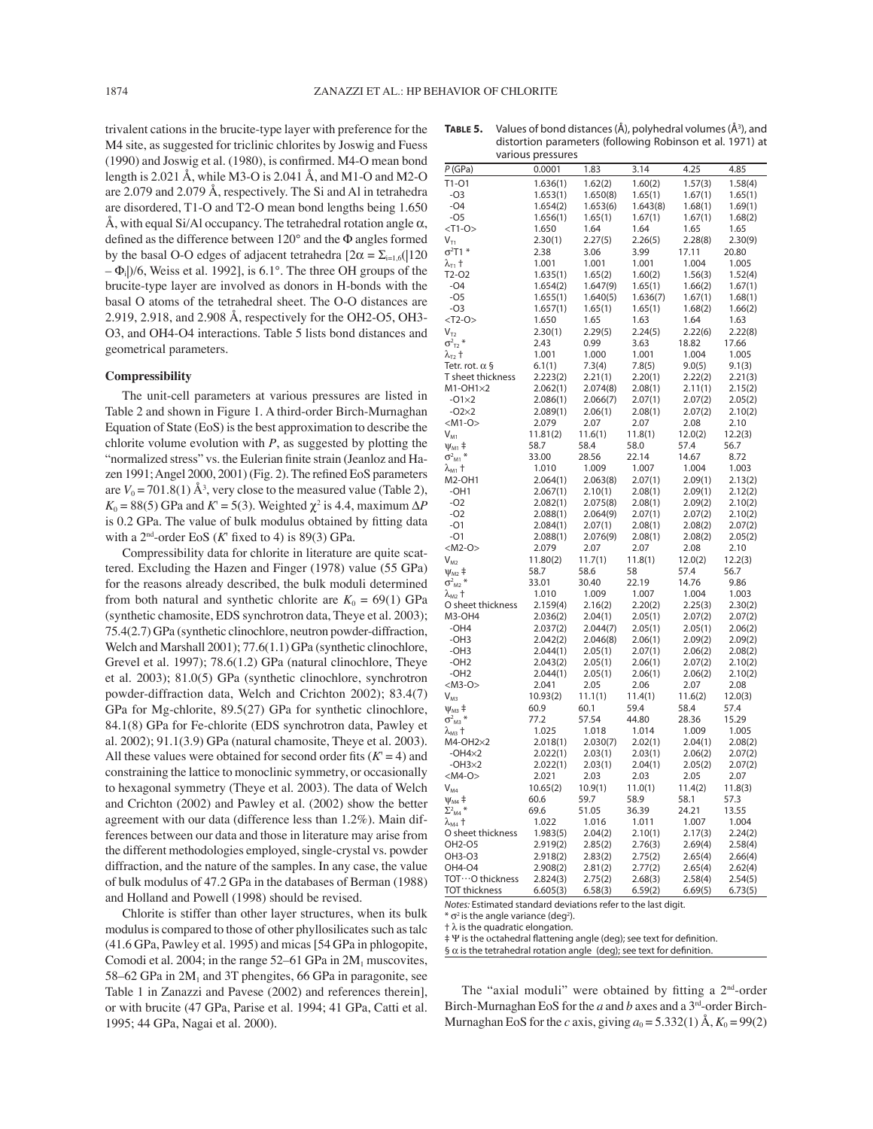trivalent cations in the brucite-type layer with preference for the M4 site, as suggested for triclinic chlorites by Joswig and Fuess  $(1990)$  and Joswig et al.  $(1980)$ , is confirmed. M4-O mean bond length is 2.021 Å, while M3-O is 2.041 Å, and M1-O and M2-O are 2.079 and 2.079 Å, respectively. The Si and Al in tetrahedra are disordered, T1-O and T2-O mean bond lengths being 1.650 Å, with equal Si/Al occupancy. The tetrahedral rotation angle  $\alpha$ , defined as the difference between  $120^{\circ}$  and the  $\Phi$  angles formed by the basal O-O edges of adjacent tetrahedra  $[2\alpha = \sum_{i=1,6} (120$  $-\Phi_i$ )/6, Weiss et al. 1992], is 6.1°. The three OH groups of the brucite-type layer are involved as donors in H-bonds with the basal O atoms of the tetrahedral sheet. The O-O distances are 2.919, 2.918, and 2.908 Å, respectively for the OH2-O5, OH3- O3, and OH4-O4 interactions. Table 5 lists bond distances and geometrical parameters.

### **Compressibility**

The unit-cell parameters at various pressures are listed in Table 2 and shown in Figure 1. A third-order Birch-Murnaghan Equation of State (EoS) is the best approximation to describe the chlorite volume evolution with *P*, as suggested by plotting the "normalized stress" vs. the Eulerian finite strain (Jeanloz and Hazen 1991; Angel 2000, 2001) (Fig. 2). The refined EoS parameters are  $V_0 = 701.8(1)$  Å<sup>3</sup>, very close to the measured value (Table 2),  $K_0 = 88(5)$  GPa and  $K' = 5(3)$ . Weighted  $\chi^2$  is 4.4, maximum  $\Delta P$ is 0.2 GPa. The value of bulk modulus obtained by fitting data with a  $2<sup>nd</sup>$ -order EoS (K' fixed to 4) is 89(3) GPa.

Compressibility data for chlorite in literature are quite scattered. Excluding the Hazen and Finger (1978) value (55 GPa) for the reasons already described, the bulk moduli determined from both natural and synthetic chlorite are  $K_0 = 69(1)$  GPa (synthetic chamosite, EDS synchrotron data, Theye et al. 2003); 75.4(2.7) GPa (synthetic clinochlore, neutron powder-diffraction, Welch and Marshall 2001); 77.6(1.1) GPa (synthetic clinochlore, Grevel et al. 1997); 78.6(1.2) GPa (natural clinochlore, Theye et al. 2003); 81.0(5) GPa (synthetic clinochlore, synchrotron powder-diffraction data, Welch and Crichton 2002); 83.4(7) GPa for Mg-chlorite, 89.5(27) GPa for synthetic clinochlore, 84.1(8) GPa for Fe-chlorite (EDS synchrotron data, Pawley et al. 2002); 91.1(3.9) GPa (natural chamosite, Theye et al. 2003). All these values were obtained for second order fits  $(K = 4)$  and constraining the lattice to monoclinic symmetry, or occasionally to hexagonal symmetry (Theye et al. 2003). The data of Welch and Crichton (2002) and Pawley et al. (2002) show the better agreement with our data (difference less than 1.2%). Main differences between our data and those in literature may arise from the different methodologies employed, single-crystal vs. powder diffraction, and the nature of the samples. In any case, the value of bulk modulus of 47.2 GPa in the databases of Berman (1988) and Holland and Powell (1998) should be revised.

Chlorite is stiffer than other layer structures, when its bulk modulus is compared to those of other phyllosilicates such as talc (41.6 GPa, Pawley et al. 1995) and micas [54 GPa in phlogopite, Comodi et al. 2004; in the range  $52-61$  GPa in  $2M_1$  muscovites, 58–62 GPa in  $2M_1$  and 3T phengites, 66 GPa in paragonite, see Table 1 in Zanazzi and Pavese (2002) and references therein], or with brucite (47 GPa, Parise et al. 1994; 41 GPa, Catti et al. 1995; 44 GPa, Nagai et al. 2000).

| P(GPa)<br>0.0001<br>3.14<br>4.25<br>4.85<br>1.83<br>$T1-O1$<br>1.57(3)<br>1.58(4)<br>1.636(1)<br>1.62(2)<br>1.60(2)<br>$-O3$<br>1.653(1)<br>1.650(8)<br>1.65(1)<br>1.67(1)<br>1.65(1)<br>$-O4$<br>1.643(8)<br>1.68(1)<br>1.654(2)<br>1.653(6)<br>1.69(1)<br>$-O5$<br>1.656(1)<br>1.65(1)<br>1.67(1)<br>1.67(1)<br>1.68(2)<br>$<$ T1-O><br>1.650<br>1.64<br>1.64<br>1.65<br>1.65<br>$V_{T1}$<br>2.30(1)<br>2.27(5)<br>2.26(5)<br>2.28(8)<br>2.30(9)<br>$\sigma^2$ T1 *<br>2.38<br>3.06<br>3.99<br>17.11<br>20.80<br>λ <sub>τι</sub> †<br>1.001<br>1.001<br>1.001<br>1.004<br>1.005<br>T2-O2<br>1.635(1)<br>1.65(2)<br>1.60(2)<br>1.56(3)<br>1.52(4)<br>$-O4$<br>1.654(2)<br>1.647(9)<br>1.65(1)<br>1.66(2)<br>1.67(1)<br>$-05$<br>1.655(1)<br>1.640(5)<br>1.636(7)<br>1.67(1)<br>1.68(1)<br>$-O3$<br>1.657(1)<br>1.65(1)<br>1.65(1)<br>1.68(2)<br>1.66(2)<br>$<$ T2-O><br>1.650<br>1.63<br>1.64<br>1.63<br>1.65<br>2.24(5)<br>2.22(6)<br>2.22(8)<br>$V_{T2}$<br>2.30(1)<br>2.29(5)<br>$\sigma^2$ <sub>T2</sub> *<br>18.82<br>17.66<br>2.43<br>0.99<br>3.63<br>1.000<br>1.004<br>$\lambda_{\textsf{T2}}$ t<br>1.001<br>1.001<br>1.005<br>Tetr. rot. $\alpha$ §<br>6.1(1)<br>7.3(4)<br>7.8(5)<br>9.0(5)<br>9.1(3)<br>T sheet thickness<br>2.223(2)<br>2.21(1)<br>2.20(1)<br>2.22(2)<br>2.21(3)<br>$M1-OH1\times2$<br>2.062(1)<br>2.074(8)<br>2.08(1)<br>2.11(1)<br>2.15(2)<br>$-01\times2$<br>2.086(1)<br>2.066(7)<br>2.07(1)<br>2.07(2)<br>2.05(2)<br>$-02\times2$<br>2.089(1)<br>2.06(1)<br>2.08(1)<br>2.07(2)<br>2.10(2)<br>$<$ M1-O><br>2.079<br>2.08<br>2.10<br>2.07<br>2.07<br>$V_{M1}$<br>11.81(2)<br>11.6(1)<br>11.8(1)<br>12.0(2)<br>12.2(3)<br>58.7<br>58.4<br>58.0<br>57.4<br>56.7<br>$\Psi_{\mathsf{M1}}$ ‡<br>$\sigma^2$ <sub>M1</sub> $*$<br>33.00<br>28.56<br>22.14<br>14.67<br>8.72<br>1.009<br>1.007<br>1.004<br>1.003<br>λ <sub>м1</sub> †<br>1.010<br><b>M2-OH1</b><br>2.064(1)<br>2.063(8)<br>2.07(1)<br>2.09(1)<br>2.13(2)<br>$-OH1$<br>2.067(1)<br>2.10(1)<br>2.08(1)<br>2.09(1)<br>2.12(2)<br>$-02$<br>2.082(1)<br>2.075(8)<br>2.08(1)<br>2.09(2)<br>2.10(2)<br>$-O2$<br>2.088(1)<br>2.064(9)<br>2.07(1)<br>2.07(2)<br>2.10(2)<br>$-O1$<br>2.084(1)<br>2.07(1)<br>2.08(1)<br>2.08(2)<br>2.07(2)<br>$-01$<br>2.088(1)<br>2.076(9)<br>2.08(1)<br>2.08(2)<br>2.05(2)<br>$<$ M2-O><br>2.079<br>2.08<br>2.07<br>2.07<br>2.10<br>$V_{M2}$<br>11.80(2)<br>11.7(1)<br>11.8(1)<br>12.0(2)<br>12.2(3)<br>58.7<br>58.6<br>58<br>57.4<br>56.7<br>$\Psi_{M2}$ ‡<br>$\sigma^2$ <sub>M2</sub> $*$<br>33.01<br>14.76<br>30.40<br>22.19<br>9.86<br>1.010<br>1.009<br>1.004<br>1.003<br>$\lambda_{\text{\tiny M2}}$ t<br>1.007<br>2.159(4)<br>2.16(2)<br>2.20(2)<br>2.25(3)<br>2.30(2)<br>O sheet thickness<br>M3-OH4<br>2.036(2)<br>2.04(1)<br>2.05(1)<br>2.07(2)<br>2.07(2)<br>$-OH4$<br>2.037(2)<br>2.044(7)<br>2.05(1)<br>2.05(1)<br>2.06(2)<br>$-OH3$<br>2.042(2)<br>2.046(8)<br>2.06(1)<br>2.09(2)<br>2.09(2)<br>$-OH3$<br>2.05(1)<br>2.044(1)<br>2.07(1)<br>2.06(2)<br>2.08(2)<br>$-OH2$<br>2.043(2)<br>2.05(1)<br>2.06(1)<br>2.07(2)<br>2.10(2)<br>$-OH2$<br>2.05(1)<br>2.044(1)<br>2.06(1)<br>2.06(2)<br>2.10(2)<br>$<$ M3-O><br>2.041<br>2.05<br>2.07<br>2.06<br>2.08<br>$V_{M3}$<br>10.93(2)<br>11.1(1)<br>11.4(1)<br>11.6(2)<br>12.0(3)<br>60.9<br>60.1<br>59.4<br>58.4<br>57.4<br>$\Psi_{M3}$ ‡<br>$\sigma^2$ <sub>M3</sub> $*$<br>77.2<br>57.54<br>44.80<br>28.36<br>15.29<br>1.025<br>$\lambda_{\text{\tiny{M3}}}$ †<br>1.018<br>1.014<br>1.009<br>1.005<br>M4-OH2×2<br>2.018(1)<br>2.030(7)<br>2.04(1)<br>2.02(1)<br>2.08(2)<br>$-OH4\times2$<br>2.022(1)<br>2.03(1)<br>2.03(1)<br>2.06(2)<br>2.07(2)<br>$-OH3\times2$<br>2.022(1)<br>2.03(1)<br>2.04(1)<br>2.05(2)<br>2.07(2)<br>$<$ M4-O><br>2.021<br>2.03<br>2.03<br>2.05<br>2.07<br>10.65(2)<br>$V_{M4}$<br>10.9(1)<br>11.0(1)<br>11.4(2)<br>11.8(3)<br>60.6<br>59.7<br>58.9<br>58.1<br>57.3<br>$\Psi_{\mathsf{M4}}$ ‡<br>$\Sigma^2$ <sub>M4</sub> *<br>69.6<br>36.39<br>24.21<br>13.55<br>51.05<br>1.022<br>1.016<br>1.011<br>1.007<br>1.004<br>$\lambda_{\text{\tiny M4}}$ t<br>O sheet thickness<br>1.983(5)<br>2.04(2)<br>2.10(1)<br>2.17(3)<br>2.24(2)<br>OH2-O5<br>2.919(2)<br>2.85(2)<br>2.76(3)<br>2.69(4)<br>2.58(4)<br>OH3-O3<br>2.918(2)<br>2.83(2)<br>2.75(2)<br>2.65(4)<br>2.66(4)<br>OH4-O4<br>2.908(2)<br>2.81(2)<br>2.77(2)<br>2.65(4)<br>2.62(4)<br>TOT…O thickness<br>2.824(3)<br>2.75(2)<br>2.68(3)<br>2.58(4)<br>2.54(5)<br><b>TOT</b> thickness | various pressures |          |         |         |         |         |  |  |
|--------------------------------------------------------------------------------------------------------------------------------------------------------------------------------------------------------------------------------------------------------------------------------------------------------------------------------------------------------------------------------------------------------------------------------------------------------------------------------------------------------------------------------------------------------------------------------------------------------------------------------------------------------------------------------------------------------------------------------------------------------------------------------------------------------------------------------------------------------------------------------------------------------------------------------------------------------------------------------------------------------------------------------------------------------------------------------------------------------------------------------------------------------------------------------------------------------------------------------------------------------------------------------------------------------------------------------------------------------------------------------------------------------------------------------------------------------------------------------------------------------------------------------------------------------------------------------------------------------------------------------------------------------------------------------------------------------------------------------------------------------------------------------------------------------------------------------------------------------------------------------------------------------------------------------------------------------------------------------------------------------------------------------------------------------------------------------------------------------------------------------------------------------------------------------------------------------------------------------------------------------------------------------------------------------------------------------------------------------------------------------------------------------------------------------------------------------------------------------------------------------------------------------------------------------------------------------------------------------------------------------------------------------------------------------------------------------------------------------------------------------------------------------------------------------------------------------------------------------------------------------------------------------------------------------------------------------------------------------------------------------------------------------------------------------------------------------------------------------------------------------------------------------------------------------------------------------------------------------------------------------------------------------------------------------------------------------------------------------------------------------------------------------------------------------------------------------------------------------------------------------------------------------------------------------------------------------------------------------------------------------------------------------------------------------------------------------------------------------------------------------------------------------------------------------------------------------------------------------------------------------------------------------------------------------------------------------------------------------------------------------------------------------------------------------------------------------------------------------------------------------------------------------------------------------------------------------------------------------------------------------------------------------------------------------------------------------------------------------------------------------------------------------------------------------------------|-------------------|----------|---------|---------|---------|---------|--|--|
|                                                                                                                                                                                                                                                                                                                                                                                                                                                                                                                                                                                                                                                                                                                                                                                                                                                                                                                                                                                                                                                                                                                                                                                                                                                                                                                                                                                                                                                                                                                                                                                                                                                                                                                                                                                                                                                                                                                                                                                                                                                                                                                                                                                                                                                                                                                                                                                                                                                                                                                                                                                                                                                                                                                                                                                                                                                                                                                                                                                                                                                                                                                                                                                                                                                                                                                                                                                                                                                                                                                                                                                                                                                                                                                                                                                                                                                                                                                                                                                                                                                                                                                                                                                                                                                                                                                                                                                                                                            |                   |          |         |         |         |         |  |  |
|                                                                                                                                                                                                                                                                                                                                                                                                                                                                                                                                                                                                                                                                                                                                                                                                                                                                                                                                                                                                                                                                                                                                                                                                                                                                                                                                                                                                                                                                                                                                                                                                                                                                                                                                                                                                                                                                                                                                                                                                                                                                                                                                                                                                                                                                                                                                                                                                                                                                                                                                                                                                                                                                                                                                                                                                                                                                                                                                                                                                                                                                                                                                                                                                                                                                                                                                                                                                                                                                                                                                                                                                                                                                                                                                                                                                                                                                                                                                                                                                                                                                                                                                                                                                                                                                                                                                                                                                                                            |                   |          |         |         |         |         |  |  |
|                                                                                                                                                                                                                                                                                                                                                                                                                                                                                                                                                                                                                                                                                                                                                                                                                                                                                                                                                                                                                                                                                                                                                                                                                                                                                                                                                                                                                                                                                                                                                                                                                                                                                                                                                                                                                                                                                                                                                                                                                                                                                                                                                                                                                                                                                                                                                                                                                                                                                                                                                                                                                                                                                                                                                                                                                                                                                                                                                                                                                                                                                                                                                                                                                                                                                                                                                                                                                                                                                                                                                                                                                                                                                                                                                                                                                                                                                                                                                                                                                                                                                                                                                                                                                                                                                                                                                                                                                                            |                   |          |         |         |         |         |  |  |
|                                                                                                                                                                                                                                                                                                                                                                                                                                                                                                                                                                                                                                                                                                                                                                                                                                                                                                                                                                                                                                                                                                                                                                                                                                                                                                                                                                                                                                                                                                                                                                                                                                                                                                                                                                                                                                                                                                                                                                                                                                                                                                                                                                                                                                                                                                                                                                                                                                                                                                                                                                                                                                                                                                                                                                                                                                                                                                                                                                                                                                                                                                                                                                                                                                                                                                                                                                                                                                                                                                                                                                                                                                                                                                                                                                                                                                                                                                                                                                                                                                                                                                                                                                                                                                                                                                                                                                                                                                            |                   |          |         |         |         |         |  |  |
|                                                                                                                                                                                                                                                                                                                                                                                                                                                                                                                                                                                                                                                                                                                                                                                                                                                                                                                                                                                                                                                                                                                                                                                                                                                                                                                                                                                                                                                                                                                                                                                                                                                                                                                                                                                                                                                                                                                                                                                                                                                                                                                                                                                                                                                                                                                                                                                                                                                                                                                                                                                                                                                                                                                                                                                                                                                                                                                                                                                                                                                                                                                                                                                                                                                                                                                                                                                                                                                                                                                                                                                                                                                                                                                                                                                                                                                                                                                                                                                                                                                                                                                                                                                                                                                                                                                                                                                                                                            |                   |          |         |         |         |         |  |  |
|                                                                                                                                                                                                                                                                                                                                                                                                                                                                                                                                                                                                                                                                                                                                                                                                                                                                                                                                                                                                                                                                                                                                                                                                                                                                                                                                                                                                                                                                                                                                                                                                                                                                                                                                                                                                                                                                                                                                                                                                                                                                                                                                                                                                                                                                                                                                                                                                                                                                                                                                                                                                                                                                                                                                                                                                                                                                                                                                                                                                                                                                                                                                                                                                                                                                                                                                                                                                                                                                                                                                                                                                                                                                                                                                                                                                                                                                                                                                                                                                                                                                                                                                                                                                                                                                                                                                                                                                                                            |                   |          |         |         |         |         |  |  |
|                                                                                                                                                                                                                                                                                                                                                                                                                                                                                                                                                                                                                                                                                                                                                                                                                                                                                                                                                                                                                                                                                                                                                                                                                                                                                                                                                                                                                                                                                                                                                                                                                                                                                                                                                                                                                                                                                                                                                                                                                                                                                                                                                                                                                                                                                                                                                                                                                                                                                                                                                                                                                                                                                                                                                                                                                                                                                                                                                                                                                                                                                                                                                                                                                                                                                                                                                                                                                                                                                                                                                                                                                                                                                                                                                                                                                                                                                                                                                                                                                                                                                                                                                                                                                                                                                                                                                                                                                                            |                   |          |         |         |         |         |  |  |
|                                                                                                                                                                                                                                                                                                                                                                                                                                                                                                                                                                                                                                                                                                                                                                                                                                                                                                                                                                                                                                                                                                                                                                                                                                                                                                                                                                                                                                                                                                                                                                                                                                                                                                                                                                                                                                                                                                                                                                                                                                                                                                                                                                                                                                                                                                                                                                                                                                                                                                                                                                                                                                                                                                                                                                                                                                                                                                                                                                                                                                                                                                                                                                                                                                                                                                                                                                                                                                                                                                                                                                                                                                                                                                                                                                                                                                                                                                                                                                                                                                                                                                                                                                                                                                                                                                                                                                                                                                            |                   |          |         |         |         |         |  |  |
|                                                                                                                                                                                                                                                                                                                                                                                                                                                                                                                                                                                                                                                                                                                                                                                                                                                                                                                                                                                                                                                                                                                                                                                                                                                                                                                                                                                                                                                                                                                                                                                                                                                                                                                                                                                                                                                                                                                                                                                                                                                                                                                                                                                                                                                                                                                                                                                                                                                                                                                                                                                                                                                                                                                                                                                                                                                                                                                                                                                                                                                                                                                                                                                                                                                                                                                                                                                                                                                                                                                                                                                                                                                                                                                                                                                                                                                                                                                                                                                                                                                                                                                                                                                                                                                                                                                                                                                                                                            |                   |          |         |         |         |         |  |  |
|                                                                                                                                                                                                                                                                                                                                                                                                                                                                                                                                                                                                                                                                                                                                                                                                                                                                                                                                                                                                                                                                                                                                                                                                                                                                                                                                                                                                                                                                                                                                                                                                                                                                                                                                                                                                                                                                                                                                                                                                                                                                                                                                                                                                                                                                                                                                                                                                                                                                                                                                                                                                                                                                                                                                                                                                                                                                                                                                                                                                                                                                                                                                                                                                                                                                                                                                                                                                                                                                                                                                                                                                                                                                                                                                                                                                                                                                                                                                                                                                                                                                                                                                                                                                                                                                                                                                                                                                                                            |                   |          |         |         |         |         |  |  |
|                                                                                                                                                                                                                                                                                                                                                                                                                                                                                                                                                                                                                                                                                                                                                                                                                                                                                                                                                                                                                                                                                                                                                                                                                                                                                                                                                                                                                                                                                                                                                                                                                                                                                                                                                                                                                                                                                                                                                                                                                                                                                                                                                                                                                                                                                                                                                                                                                                                                                                                                                                                                                                                                                                                                                                                                                                                                                                                                                                                                                                                                                                                                                                                                                                                                                                                                                                                                                                                                                                                                                                                                                                                                                                                                                                                                                                                                                                                                                                                                                                                                                                                                                                                                                                                                                                                                                                                                                                            |                   |          |         |         |         |         |  |  |
|                                                                                                                                                                                                                                                                                                                                                                                                                                                                                                                                                                                                                                                                                                                                                                                                                                                                                                                                                                                                                                                                                                                                                                                                                                                                                                                                                                                                                                                                                                                                                                                                                                                                                                                                                                                                                                                                                                                                                                                                                                                                                                                                                                                                                                                                                                                                                                                                                                                                                                                                                                                                                                                                                                                                                                                                                                                                                                                                                                                                                                                                                                                                                                                                                                                                                                                                                                                                                                                                                                                                                                                                                                                                                                                                                                                                                                                                                                                                                                                                                                                                                                                                                                                                                                                                                                                                                                                                                                            |                   |          |         |         |         |         |  |  |
|                                                                                                                                                                                                                                                                                                                                                                                                                                                                                                                                                                                                                                                                                                                                                                                                                                                                                                                                                                                                                                                                                                                                                                                                                                                                                                                                                                                                                                                                                                                                                                                                                                                                                                                                                                                                                                                                                                                                                                                                                                                                                                                                                                                                                                                                                                                                                                                                                                                                                                                                                                                                                                                                                                                                                                                                                                                                                                                                                                                                                                                                                                                                                                                                                                                                                                                                                                                                                                                                                                                                                                                                                                                                                                                                                                                                                                                                                                                                                                                                                                                                                                                                                                                                                                                                                                                                                                                                                                            |                   |          |         |         |         |         |  |  |
|                                                                                                                                                                                                                                                                                                                                                                                                                                                                                                                                                                                                                                                                                                                                                                                                                                                                                                                                                                                                                                                                                                                                                                                                                                                                                                                                                                                                                                                                                                                                                                                                                                                                                                                                                                                                                                                                                                                                                                                                                                                                                                                                                                                                                                                                                                                                                                                                                                                                                                                                                                                                                                                                                                                                                                                                                                                                                                                                                                                                                                                                                                                                                                                                                                                                                                                                                                                                                                                                                                                                                                                                                                                                                                                                                                                                                                                                                                                                                                                                                                                                                                                                                                                                                                                                                                                                                                                                                                            |                   |          |         |         |         |         |  |  |
|                                                                                                                                                                                                                                                                                                                                                                                                                                                                                                                                                                                                                                                                                                                                                                                                                                                                                                                                                                                                                                                                                                                                                                                                                                                                                                                                                                                                                                                                                                                                                                                                                                                                                                                                                                                                                                                                                                                                                                                                                                                                                                                                                                                                                                                                                                                                                                                                                                                                                                                                                                                                                                                                                                                                                                                                                                                                                                                                                                                                                                                                                                                                                                                                                                                                                                                                                                                                                                                                                                                                                                                                                                                                                                                                                                                                                                                                                                                                                                                                                                                                                                                                                                                                                                                                                                                                                                                                                                            |                   |          |         |         |         |         |  |  |
|                                                                                                                                                                                                                                                                                                                                                                                                                                                                                                                                                                                                                                                                                                                                                                                                                                                                                                                                                                                                                                                                                                                                                                                                                                                                                                                                                                                                                                                                                                                                                                                                                                                                                                                                                                                                                                                                                                                                                                                                                                                                                                                                                                                                                                                                                                                                                                                                                                                                                                                                                                                                                                                                                                                                                                                                                                                                                                                                                                                                                                                                                                                                                                                                                                                                                                                                                                                                                                                                                                                                                                                                                                                                                                                                                                                                                                                                                                                                                                                                                                                                                                                                                                                                                                                                                                                                                                                                                                            |                   |          |         |         |         |         |  |  |
|                                                                                                                                                                                                                                                                                                                                                                                                                                                                                                                                                                                                                                                                                                                                                                                                                                                                                                                                                                                                                                                                                                                                                                                                                                                                                                                                                                                                                                                                                                                                                                                                                                                                                                                                                                                                                                                                                                                                                                                                                                                                                                                                                                                                                                                                                                                                                                                                                                                                                                                                                                                                                                                                                                                                                                                                                                                                                                                                                                                                                                                                                                                                                                                                                                                                                                                                                                                                                                                                                                                                                                                                                                                                                                                                                                                                                                                                                                                                                                                                                                                                                                                                                                                                                                                                                                                                                                                                                                            |                   |          |         |         |         |         |  |  |
|                                                                                                                                                                                                                                                                                                                                                                                                                                                                                                                                                                                                                                                                                                                                                                                                                                                                                                                                                                                                                                                                                                                                                                                                                                                                                                                                                                                                                                                                                                                                                                                                                                                                                                                                                                                                                                                                                                                                                                                                                                                                                                                                                                                                                                                                                                                                                                                                                                                                                                                                                                                                                                                                                                                                                                                                                                                                                                                                                                                                                                                                                                                                                                                                                                                                                                                                                                                                                                                                                                                                                                                                                                                                                                                                                                                                                                                                                                                                                                                                                                                                                                                                                                                                                                                                                                                                                                                                                                            |                   |          |         |         |         |         |  |  |
|                                                                                                                                                                                                                                                                                                                                                                                                                                                                                                                                                                                                                                                                                                                                                                                                                                                                                                                                                                                                                                                                                                                                                                                                                                                                                                                                                                                                                                                                                                                                                                                                                                                                                                                                                                                                                                                                                                                                                                                                                                                                                                                                                                                                                                                                                                                                                                                                                                                                                                                                                                                                                                                                                                                                                                                                                                                                                                                                                                                                                                                                                                                                                                                                                                                                                                                                                                                                                                                                                                                                                                                                                                                                                                                                                                                                                                                                                                                                                                                                                                                                                                                                                                                                                                                                                                                                                                                                                                            |                   |          |         |         |         |         |  |  |
|                                                                                                                                                                                                                                                                                                                                                                                                                                                                                                                                                                                                                                                                                                                                                                                                                                                                                                                                                                                                                                                                                                                                                                                                                                                                                                                                                                                                                                                                                                                                                                                                                                                                                                                                                                                                                                                                                                                                                                                                                                                                                                                                                                                                                                                                                                                                                                                                                                                                                                                                                                                                                                                                                                                                                                                                                                                                                                                                                                                                                                                                                                                                                                                                                                                                                                                                                                                                                                                                                                                                                                                                                                                                                                                                                                                                                                                                                                                                                                                                                                                                                                                                                                                                                                                                                                                                                                                                                                            |                   |          |         |         |         |         |  |  |
|                                                                                                                                                                                                                                                                                                                                                                                                                                                                                                                                                                                                                                                                                                                                                                                                                                                                                                                                                                                                                                                                                                                                                                                                                                                                                                                                                                                                                                                                                                                                                                                                                                                                                                                                                                                                                                                                                                                                                                                                                                                                                                                                                                                                                                                                                                                                                                                                                                                                                                                                                                                                                                                                                                                                                                                                                                                                                                                                                                                                                                                                                                                                                                                                                                                                                                                                                                                                                                                                                                                                                                                                                                                                                                                                                                                                                                                                                                                                                                                                                                                                                                                                                                                                                                                                                                                                                                                                                                            |                   |          |         |         |         |         |  |  |
|                                                                                                                                                                                                                                                                                                                                                                                                                                                                                                                                                                                                                                                                                                                                                                                                                                                                                                                                                                                                                                                                                                                                                                                                                                                                                                                                                                                                                                                                                                                                                                                                                                                                                                                                                                                                                                                                                                                                                                                                                                                                                                                                                                                                                                                                                                                                                                                                                                                                                                                                                                                                                                                                                                                                                                                                                                                                                                                                                                                                                                                                                                                                                                                                                                                                                                                                                                                                                                                                                                                                                                                                                                                                                                                                                                                                                                                                                                                                                                                                                                                                                                                                                                                                                                                                                                                                                                                                                                            |                   |          |         |         |         |         |  |  |
|                                                                                                                                                                                                                                                                                                                                                                                                                                                                                                                                                                                                                                                                                                                                                                                                                                                                                                                                                                                                                                                                                                                                                                                                                                                                                                                                                                                                                                                                                                                                                                                                                                                                                                                                                                                                                                                                                                                                                                                                                                                                                                                                                                                                                                                                                                                                                                                                                                                                                                                                                                                                                                                                                                                                                                                                                                                                                                                                                                                                                                                                                                                                                                                                                                                                                                                                                                                                                                                                                                                                                                                                                                                                                                                                                                                                                                                                                                                                                                                                                                                                                                                                                                                                                                                                                                                                                                                                                                            |                   |          |         |         |         |         |  |  |
|                                                                                                                                                                                                                                                                                                                                                                                                                                                                                                                                                                                                                                                                                                                                                                                                                                                                                                                                                                                                                                                                                                                                                                                                                                                                                                                                                                                                                                                                                                                                                                                                                                                                                                                                                                                                                                                                                                                                                                                                                                                                                                                                                                                                                                                                                                                                                                                                                                                                                                                                                                                                                                                                                                                                                                                                                                                                                                                                                                                                                                                                                                                                                                                                                                                                                                                                                                                                                                                                                                                                                                                                                                                                                                                                                                                                                                                                                                                                                                                                                                                                                                                                                                                                                                                                                                                                                                                                                                            |                   |          |         |         |         |         |  |  |
|                                                                                                                                                                                                                                                                                                                                                                                                                                                                                                                                                                                                                                                                                                                                                                                                                                                                                                                                                                                                                                                                                                                                                                                                                                                                                                                                                                                                                                                                                                                                                                                                                                                                                                                                                                                                                                                                                                                                                                                                                                                                                                                                                                                                                                                                                                                                                                                                                                                                                                                                                                                                                                                                                                                                                                                                                                                                                                                                                                                                                                                                                                                                                                                                                                                                                                                                                                                                                                                                                                                                                                                                                                                                                                                                                                                                                                                                                                                                                                                                                                                                                                                                                                                                                                                                                                                                                                                                                                            |                   |          |         |         |         |         |  |  |
|                                                                                                                                                                                                                                                                                                                                                                                                                                                                                                                                                                                                                                                                                                                                                                                                                                                                                                                                                                                                                                                                                                                                                                                                                                                                                                                                                                                                                                                                                                                                                                                                                                                                                                                                                                                                                                                                                                                                                                                                                                                                                                                                                                                                                                                                                                                                                                                                                                                                                                                                                                                                                                                                                                                                                                                                                                                                                                                                                                                                                                                                                                                                                                                                                                                                                                                                                                                                                                                                                                                                                                                                                                                                                                                                                                                                                                                                                                                                                                                                                                                                                                                                                                                                                                                                                                                                                                                                                                            |                   |          |         |         |         |         |  |  |
|                                                                                                                                                                                                                                                                                                                                                                                                                                                                                                                                                                                                                                                                                                                                                                                                                                                                                                                                                                                                                                                                                                                                                                                                                                                                                                                                                                                                                                                                                                                                                                                                                                                                                                                                                                                                                                                                                                                                                                                                                                                                                                                                                                                                                                                                                                                                                                                                                                                                                                                                                                                                                                                                                                                                                                                                                                                                                                                                                                                                                                                                                                                                                                                                                                                                                                                                                                                                                                                                                                                                                                                                                                                                                                                                                                                                                                                                                                                                                                                                                                                                                                                                                                                                                                                                                                                                                                                                                                            |                   |          |         |         |         |         |  |  |
|                                                                                                                                                                                                                                                                                                                                                                                                                                                                                                                                                                                                                                                                                                                                                                                                                                                                                                                                                                                                                                                                                                                                                                                                                                                                                                                                                                                                                                                                                                                                                                                                                                                                                                                                                                                                                                                                                                                                                                                                                                                                                                                                                                                                                                                                                                                                                                                                                                                                                                                                                                                                                                                                                                                                                                                                                                                                                                                                                                                                                                                                                                                                                                                                                                                                                                                                                                                                                                                                                                                                                                                                                                                                                                                                                                                                                                                                                                                                                                                                                                                                                                                                                                                                                                                                                                                                                                                                                                            |                   |          |         |         |         |         |  |  |
|                                                                                                                                                                                                                                                                                                                                                                                                                                                                                                                                                                                                                                                                                                                                                                                                                                                                                                                                                                                                                                                                                                                                                                                                                                                                                                                                                                                                                                                                                                                                                                                                                                                                                                                                                                                                                                                                                                                                                                                                                                                                                                                                                                                                                                                                                                                                                                                                                                                                                                                                                                                                                                                                                                                                                                                                                                                                                                                                                                                                                                                                                                                                                                                                                                                                                                                                                                                                                                                                                                                                                                                                                                                                                                                                                                                                                                                                                                                                                                                                                                                                                                                                                                                                                                                                                                                                                                                                                                            |                   |          |         |         |         |         |  |  |
|                                                                                                                                                                                                                                                                                                                                                                                                                                                                                                                                                                                                                                                                                                                                                                                                                                                                                                                                                                                                                                                                                                                                                                                                                                                                                                                                                                                                                                                                                                                                                                                                                                                                                                                                                                                                                                                                                                                                                                                                                                                                                                                                                                                                                                                                                                                                                                                                                                                                                                                                                                                                                                                                                                                                                                                                                                                                                                                                                                                                                                                                                                                                                                                                                                                                                                                                                                                                                                                                                                                                                                                                                                                                                                                                                                                                                                                                                                                                                                                                                                                                                                                                                                                                                                                                                                                                                                                                                                            |                   |          |         |         |         |         |  |  |
|                                                                                                                                                                                                                                                                                                                                                                                                                                                                                                                                                                                                                                                                                                                                                                                                                                                                                                                                                                                                                                                                                                                                                                                                                                                                                                                                                                                                                                                                                                                                                                                                                                                                                                                                                                                                                                                                                                                                                                                                                                                                                                                                                                                                                                                                                                                                                                                                                                                                                                                                                                                                                                                                                                                                                                                                                                                                                                                                                                                                                                                                                                                                                                                                                                                                                                                                                                                                                                                                                                                                                                                                                                                                                                                                                                                                                                                                                                                                                                                                                                                                                                                                                                                                                                                                                                                                                                                                                                            |                   |          |         |         |         |         |  |  |
|                                                                                                                                                                                                                                                                                                                                                                                                                                                                                                                                                                                                                                                                                                                                                                                                                                                                                                                                                                                                                                                                                                                                                                                                                                                                                                                                                                                                                                                                                                                                                                                                                                                                                                                                                                                                                                                                                                                                                                                                                                                                                                                                                                                                                                                                                                                                                                                                                                                                                                                                                                                                                                                                                                                                                                                                                                                                                                                                                                                                                                                                                                                                                                                                                                                                                                                                                                                                                                                                                                                                                                                                                                                                                                                                                                                                                                                                                                                                                                                                                                                                                                                                                                                                                                                                                                                                                                                                                                            |                   |          |         |         |         |         |  |  |
|                                                                                                                                                                                                                                                                                                                                                                                                                                                                                                                                                                                                                                                                                                                                                                                                                                                                                                                                                                                                                                                                                                                                                                                                                                                                                                                                                                                                                                                                                                                                                                                                                                                                                                                                                                                                                                                                                                                                                                                                                                                                                                                                                                                                                                                                                                                                                                                                                                                                                                                                                                                                                                                                                                                                                                                                                                                                                                                                                                                                                                                                                                                                                                                                                                                                                                                                                                                                                                                                                                                                                                                                                                                                                                                                                                                                                                                                                                                                                                                                                                                                                                                                                                                                                                                                                                                                                                                                                                            |                   |          |         |         |         |         |  |  |
|                                                                                                                                                                                                                                                                                                                                                                                                                                                                                                                                                                                                                                                                                                                                                                                                                                                                                                                                                                                                                                                                                                                                                                                                                                                                                                                                                                                                                                                                                                                                                                                                                                                                                                                                                                                                                                                                                                                                                                                                                                                                                                                                                                                                                                                                                                                                                                                                                                                                                                                                                                                                                                                                                                                                                                                                                                                                                                                                                                                                                                                                                                                                                                                                                                                                                                                                                                                                                                                                                                                                                                                                                                                                                                                                                                                                                                                                                                                                                                                                                                                                                                                                                                                                                                                                                                                                                                                                                                            |                   |          |         |         |         |         |  |  |
|                                                                                                                                                                                                                                                                                                                                                                                                                                                                                                                                                                                                                                                                                                                                                                                                                                                                                                                                                                                                                                                                                                                                                                                                                                                                                                                                                                                                                                                                                                                                                                                                                                                                                                                                                                                                                                                                                                                                                                                                                                                                                                                                                                                                                                                                                                                                                                                                                                                                                                                                                                                                                                                                                                                                                                                                                                                                                                                                                                                                                                                                                                                                                                                                                                                                                                                                                                                                                                                                                                                                                                                                                                                                                                                                                                                                                                                                                                                                                                                                                                                                                                                                                                                                                                                                                                                                                                                                                                            |                   |          |         |         |         |         |  |  |
|                                                                                                                                                                                                                                                                                                                                                                                                                                                                                                                                                                                                                                                                                                                                                                                                                                                                                                                                                                                                                                                                                                                                                                                                                                                                                                                                                                                                                                                                                                                                                                                                                                                                                                                                                                                                                                                                                                                                                                                                                                                                                                                                                                                                                                                                                                                                                                                                                                                                                                                                                                                                                                                                                                                                                                                                                                                                                                                                                                                                                                                                                                                                                                                                                                                                                                                                                                                                                                                                                                                                                                                                                                                                                                                                                                                                                                                                                                                                                                                                                                                                                                                                                                                                                                                                                                                                                                                                                                            |                   |          |         |         |         |         |  |  |
|                                                                                                                                                                                                                                                                                                                                                                                                                                                                                                                                                                                                                                                                                                                                                                                                                                                                                                                                                                                                                                                                                                                                                                                                                                                                                                                                                                                                                                                                                                                                                                                                                                                                                                                                                                                                                                                                                                                                                                                                                                                                                                                                                                                                                                                                                                                                                                                                                                                                                                                                                                                                                                                                                                                                                                                                                                                                                                                                                                                                                                                                                                                                                                                                                                                                                                                                                                                                                                                                                                                                                                                                                                                                                                                                                                                                                                                                                                                                                                                                                                                                                                                                                                                                                                                                                                                                                                                                                                            |                   |          |         |         |         |         |  |  |
|                                                                                                                                                                                                                                                                                                                                                                                                                                                                                                                                                                                                                                                                                                                                                                                                                                                                                                                                                                                                                                                                                                                                                                                                                                                                                                                                                                                                                                                                                                                                                                                                                                                                                                                                                                                                                                                                                                                                                                                                                                                                                                                                                                                                                                                                                                                                                                                                                                                                                                                                                                                                                                                                                                                                                                                                                                                                                                                                                                                                                                                                                                                                                                                                                                                                                                                                                                                                                                                                                                                                                                                                                                                                                                                                                                                                                                                                                                                                                                                                                                                                                                                                                                                                                                                                                                                                                                                                                                            |                   |          |         |         |         |         |  |  |
|                                                                                                                                                                                                                                                                                                                                                                                                                                                                                                                                                                                                                                                                                                                                                                                                                                                                                                                                                                                                                                                                                                                                                                                                                                                                                                                                                                                                                                                                                                                                                                                                                                                                                                                                                                                                                                                                                                                                                                                                                                                                                                                                                                                                                                                                                                                                                                                                                                                                                                                                                                                                                                                                                                                                                                                                                                                                                                                                                                                                                                                                                                                                                                                                                                                                                                                                                                                                                                                                                                                                                                                                                                                                                                                                                                                                                                                                                                                                                                                                                                                                                                                                                                                                                                                                                                                                                                                                                                            |                   |          |         |         |         |         |  |  |
|                                                                                                                                                                                                                                                                                                                                                                                                                                                                                                                                                                                                                                                                                                                                                                                                                                                                                                                                                                                                                                                                                                                                                                                                                                                                                                                                                                                                                                                                                                                                                                                                                                                                                                                                                                                                                                                                                                                                                                                                                                                                                                                                                                                                                                                                                                                                                                                                                                                                                                                                                                                                                                                                                                                                                                                                                                                                                                                                                                                                                                                                                                                                                                                                                                                                                                                                                                                                                                                                                                                                                                                                                                                                                                                                                                                                                                                                                                                                                                                                                                                                                                                                                                                                                                                                                                                                                                                                                                            |                   |          |         |         |         |         |  |  |
|                                                                                                                                                                                                                                                                                                                                                                                                                                                                                                                                                                                                                                                                                                                                                                                                                                                                                                                                                                                                                                                                                                                                                                                                                                                                                                                                                                                                                                                                                                                                                                                                                                                                                                                                                                                                                                                                                                                                                                                                                                                                                                                                                                                                                                                                                                                                                                                                                                                                                                                                                                                                                                                                                                                                                                                                                                                                                                                                                                                                                                                                                                                                                                                                                                                                                                                                                                                                                                                                                                                                                                                                                                                                                                                                                                                                                                                                                                                                                                                                                                                                                                                                                                                                                                                                                                                                                                                                                                            |                   |          |         |         |         |         |  |  |
|                                                                                                                                                                                                                                                                                                                                                                                                                                                                                                                                                                                                                                                                                                                                                                                                                                                                                                                                                                                                                                                                                                                                                                                                                                                                                                                                                                                                                                                                                                                                                                                                                                                                                                                                                                                                                                                                                                                                                                                                                                                                                                                                                                                                                                                                                                                                                                                                                                                                                                                                                                                                                                                                                                                                                                                                                                                                                                                                                                                                                                                                                                                                                                                                                                                                                                                                                                                                                                                                                                                                                                                                                                                                                                                                                                                                                                                                                                                                                                                                                                                                                                                                                                                                                                                                                                                                                                                                                                            |                   |          |         |         |         |         |  |  |
|                                                                                                                                                                                                                                                                                                                                                                                                                                                                                                                                                                                                                                                                                                                                                                                                                                                                                                                                                                                                                                                                                                                                                                                                                                                                                                                                                                                                                                                                                                                                                                                                                                                                                                                                                                                                                                                                                                                                                                                                                                                                                                                                                                                                                                                                                                                                                                                                                                                                                                                                                                                                                                                                                                                                                                                                                                                                                                                                                                                                                                                                                                                                                                                                                                                                                                                                                                                                                                                                                                                                                                                                                                                                                                                                                                                                                                                                                                                                                                                                                                                                                                                                                                                                                                                                                                                                                                                                                                            |                   |          |         |         |         |         |  |  |
|                                                                                                                                                                                                                                                                                                                                                                                                                                                                                                                                                                                                                                                                                                                                                                                                                                                                                                                                                                                                                                                                                                                                                                                                                                                                                                                                                                                                                                                                                                                                                                                                                                                                                                                                                                                                                                                                                                                                                                                                                                                                                                                                                                                                                                                                                                                                                                                                                                                                                                                                                                                                                                                                                                                                                                                                                                                                                                                                                                                                                                                                                                                                                                                                                                                                                                                                                                                                                                                                                                                                                                                                                                                                                                                                                                                                                                                                                                                                                                                                                                                                                                                                                                                                                                                                                                                                                                                                                                            |                   |          |         |         |         |         |  |  |
|                                                                                                                                                                                                                                                                                                                                                                                                                                                                                                                                                                                                                                                                                                                                                                                                                                                                                                                                                                                                                                                                                                                                                                                                                                                                                                                                                                                                                                                                                                                                                                                                                                                                                                                                                                                                                                                                                                                                                                                                                                                                                                                                                                                                                                                                                                                                                                                                                                                                                                                                                                                                                                                                                                                                                                                                                                                                                                                                                                                                                                                                                                                                                                                                                                                                                                                                                                                                                                                                                                                                                                                                                                                                                                                                                                                                                                                                                                                                                                                                                                                                                                                                                                                                                                                                                                                                                                                                                                            |                   |          |         |         |         |         |  |  |
|                                                                                                                                                                                                                                                                                                                                                                                                                                                                                                                                                                                                                                                                                                                                                                                                                                                                                                                                                                                                                                                                                                                                                                                                                                                                                                                                                                                                                                                                                                                                                                                                                                                                                                                                                                                                                                                                                                                                                                                                                                                                                                                                                                                                                                                                                                                                                                                                                                                                                                                                                                                                                                                                                                                                                                                                                                                                                                                                                                                                                                                                                                                                                                                                                                                                                                                                                                                                                                                                                                                                                                                                                                                                                                                                                                                                                                                                                                                                                                                                                                                                                                                                                                                                                                                                                                                                                                                                                                            |                   |          |         |         |         |         |  |  |
|                                                                                                                                                                                                                                                                                                                                                                                                                                                                                                                                                                                                                                                                                                                                                                                                                                                                                                                                                                                                                                                                                                                                                                                                                                                                                                                                                                                                                                                                                                                                                                                                                                                                                                                                                                                                                                                                                                                                                                                                                                                                                                                                                                                                                                                                                                                                                                                                                                                                                                                                                                                                                                                                                                                                                                                                                                                                                                                                                                                                                                                                                                                                                                                                                                                                                                                                                                                                                                                                                                                                                                                                                                                                                                                                                                                                                                                                                                                                                                                                                                                                                                                                                                                                                                                                                                                                                                                                                                            |                   |          |         |         |         |         |  |  |
|                                                                                                                                                                                                                                                                                                                                                                                                                                                                                                                                                                                                                                                                                                                                                                                                                                                                                                                                                                                                                                                                                                                                                                                                                                                                                                                                                                                                                                                                                                                                                                                                                                                                                                                                                                                                                                                                                                                                                                                                                                                                                                                                                                                                                                                                                                                                                                                                                                                                                                                                                                                                                                                                                                                                                                                                                                                                                                                                                                                                                                                                                                                                                                                                                                                                                                                                                                                                                                                                                                                                                                                                                                                                                                                                                                                                                                                                                                                                                                                                                                                                                                                                                                                                                                                                                                                                                                                                                                            |                   |          |         |         |         |         |  |  |
|                                                                                                                                                                                                                                                                                                                                                                                                                                                                                                                                                                                                                                                                                                                                                                                                                                                                                                                                                                                                                                                                                                                                                                                                                                                                                                                                                                                                                                                                                                                                                                                                                                                                                                                                                                                                                                                                                                                                                                                                                                                                                                                                                                                                                                                                                                                                                                                                                                                                                                                                                                                                                                                                                                                                                                                                                                                                                                                                                                                                                                                                                                                                                                                                                                                                                                                                                                                                                                                                                                                                                                                                                                                                                                                                                                                                                                                                                                                                                                                                                                                                                                                                                                                                                                                                                                                                                                                                                                            |                   |          |         |         |         |         |  |  |
|                                                                                                                                                                                                                                                                                                                                                                                                                                                                                                                                                                                                                                                                                                                                                                                                                                                                                                                                                                                                                                                                                                                                                                                                                                                                                                                                                                                                                                                                                                                                                                                                                                                                                                                                                                                                                                                                                                                                                                                                                                                                                                                                                                                                                                                                                                                                                                                                                                                                                                                                                                                                                                                                                                                                                                                                                                                                                                                                                                                                                                                                                                                                                                                                                                                                                                                                                                                                                                                                                                                                                                                                                                                                                                                                                                                                                                                                                                                                                                                                                                                                                                                                                                                                                                                                                                                                                                                                                                            |                   |          |         |         |         |         |  |  |
|                                                                                                                                                                                                                                                                                                                                                                                                                                                                                                                                                                                                                                                                                                                                                                                                                                                                                                                                                                                                                                                                                                                                                                                                                                                                                                                                                                                                                                                                                                                                                                                                                                                                                                                                                                                                                                                                                                                                                                                                                                                                                                                                                                                                                                                                                                                                                                                                                                                                                                                                                                                                                                                                                                                                                                                                                                                                                                                                                                                                                                                                                                                                                                                                                                                                                                                                                                                                                                                                                                                                                                                                                                                                                                                                                                                                                                                                                                                                                                                                                                                                                                                                                                                                                                                                                                                                                                                                                                            |                   |          |         |         |         |         |  |  |
|                                                                                                                                                                                                                                                                                                                                                                                                                                                                                                                                                                                                                                                                                                                                                                                                                                                                                                                                                                                                                                                                                                                                                                                                                                                                                                                                                                                                                                                                                                                                                                                                                                                                                                                                                                                                                                                                                                                                                                                                                                                                                                                                                                                                                                                                                                                                                                                                                                                                                                                                                                                                                                                                                                                                                                                                                                                                                                                                                                                                                                                                                                                                                                                                                                                                                                                                                                                                                                                                                                                                                                                                                                                                                                                                                                                                                                                                                                                                                                                                                                                                                                                                                                                                                                                                                                                                                                                                                                            |                   |          |         |         |         |         |  |  |
|                                                                                                                                                                                                                                                                                                                                                                                                                                                                                                                                                                                                                                                                                                                                                                                                                                                                                                                                                                                                                                                                                                                                                                                                                                                                                                                                                                                                                                                                                                                                                                                                                                                                                                                                                                                                                                                                                                                                                                                                                                                                                                                                                                                                                                                                                                                                                                                                                                                                                                                                                                                                                                                                                                                                                                                                                                                                                                                                                                                                                                                                                                                                                                                                                                                                                                                                                                                                                                                                                                                                                                                                                                                                                                                                                                                                                                                                                                                                                                                                                                                                                                                                                                                                                                                                                                                                                                                                                                            |                   |          |         |         |         |         |  |  |
|                                                                                                                                                                                                                                                                                                                                                                                                                                                                                                                                                                                                                                                                                                                                                                                                                                                                                                                                                                                                                                                                                                                                                                                                                                                                                                                                                                                                                                                                                                                                                                                                                                                                                                                                                                                                                                                                                                                                                                                                                                                                                                                                                                                                                                                                                                                                                                                                                                                                                                                                                                                                                                                                                                                                                                                                                                                                                                                                                                                                                                                                                                                                                                                                                                                                                                                                                                                                                                                                                                                                                                                                                                                                                                                                                                                                                                                                                                                                                                                                                                                                                                                                                                                                                                                                                                                                                                                                                                            |                   |          |         |         |         |         |  |  |
|                                                                                                                                                                                                                                                                                                                                                                                                                                                                                                                                                                                                                                                                                                                                                                                                                                                                                                                                                                                                                                                                                                                                                                                                                                                                                                                                                                                                                                                                                                                                                                                                                                                                                                                                                                                                                                                                                                                                                                                                                                                                                                                                                                                                                                                                                                                                                                                                                                                                                                                                                                                                                                                                                                                                                                                                                                                                                                                                                                                                                                                                                                                                                                                                                                                                                                                                                                                                                                                                                                                                                                                                                                                                                                                                                                                                                                                                                                                                                                                                                                                                                                                                                                                                                                                                                                                                                                                                                                            |                   |          |         |         |         |         |  |  |
|                                                                                                                                                                                                                                                                                                                                                                                                                                                                                                                                                                                                                                                                                                                                                                                                                                                                                                                                                                                                                                                                                                                                                                                                                                                                                                                                                                                                                                                                                                                                                                                                                                                                                                                                                                                                                                                                                                                                                                                                                                                                                                                                                                                                                                                                                                                                                                                                                                                                                                                                                                                                                                                                                                                                                                                                                                                                                                                                                                                                                                                                                                                                                                                                                                                                                                                                                                                                                                                                                                                                                                                                                                                                                                                                                                                                                                                                                                                                                                                                                                                                                                                                                                                                                                                                                                                                                                                                                                            |                   |          |         |         |         |         |  |  |
|                                                                                                                                                                                                                                                                                                                                                                                                                                                                                                                                                                                                                                                                                                                                                                                                                                                                                                                                                                                                                                                                                                                                                                                                                                                                                                                                                                                                                                                                                                                                                                                                                                                                                                                                                                                                                                                                                                                                                                                                                                                                                                                                                                                                                                                                                                                                                                                                                                                                                                                                                                                                                                                                                                                                                                                                                                                                                                                                                                                                                                                                                                                                                                                                                                                                                                                                                                                                                                                                                                                                                                                                                                                                                                                                                                                                                                                                                                                                                                                                                                                                                                                                                                                                                                                                                                                                                                                                                                            |                   |          |         |         |         |         |  |  |
|                                                                                                                                                                                                                                                                                                                                                                                                                                                                                                                                                                                                                                                                                                                                                                                                                                                                                                                                                                                                                                                                                                                                                                                                                                                                                                                                                                                                                                                                                                                                                                                                                                                                                                                                                                                                                                                                                                                                                                                                                                                                                                                                                                                                                                                                                                                                                                                                                                                                                                                                                                                                                                                                                                                                                                                                                                                                                                                                                                                                                                                                                                                                                                                                                                                                                                                                                                                                                                                                                                                                                                                                                                                                                                                                                                                                                                                                                                                                                                                                                                                                                                                                                                                                                                                                                                                                                                                                                                            |                   |          |         |         |         |         |  |  |
|                                                                                                                                                                                                                                                                                                                                                                                                                                                                                                                                                                                                                                                                                                                                                                                                                                                                                                                                                                                                                                                                                                                                                                                                                                                                                                                                                                                                                                                                                                                                                                                                                                                                                                                                                                                                                                                                                                                                                                                                                                                                                                                                                                                                                                                                                                                                                                                                                                                                                                                                                                                                                                                                                                                                                                                                                                                                                                                                                                                                                                                                                                                                                                                                                                                                                                                                                                                                                                                                                                                                                                                                                                                                                                                                                                                                                                                                                                                                                                                                                                                                                                                                                                                                                                                                                                                                                                                                                                            |                   |          |         |         |         |         |  |  |
|                                                                                                                                                                                                                                                                                                                                                                                                                                                                                                                                                                                                                                                                                                                                                                                                                                                                                                                                                                                                                                                                                                                                                                                                                                                                                                                                                                                                                                                                                                                                                                                                                                                                                                                                                                                                                                                                                                                                                                                                                                                                                                                                                                                                                                                                                                                                                                                                                                                                                                                                                                                                                                                                                                                                                                                                                                                                                                                                                                                                                                                                                                                                                                                                                                                                                                                                                                                                                                                                                                                                                                                                                                                                                                                                                                                                                                                                                                                                                                                                                                                                                                                                                                                                                                                                                                                                                                                                                                            |                   | 6.605(3) | 6.58(3) | 6.59(2) | 6.69(5) | 6.73(5) |  |  |

**TABLE 5.** Values of bond distances (Å), polyhedral volumes (Å<sup>3</sup>), and<br>distortion parameters (following Robinson et al. 1971) at distortion parameters (following Robinson et al. 1971) at

*Notes:* Estimated standard deviations refer to the last digit.

 $*$   $\sigma^2$  is the angle variance (deg<sup>2</sup>).

 $\dagger$   $\lambda$  is the quadratic elongation.

 $\ddagger$  Ψ is the octahedral flattening angle (deg); see text for definition.

§  $\alpha$  is the tetrahedral rotation angle (deg); see text for definition.

The "axial moduli" were obtained by fitting a  $2<sup>nd</sup>$ -order Birch-Murnaghan EoS for the *a* and *b* axes and a 3rd-order Birch-Murnaghan EoS for the *c* axis, giving  $a_0 = 5.332(1)$  A,  $K_0 = 99(2)$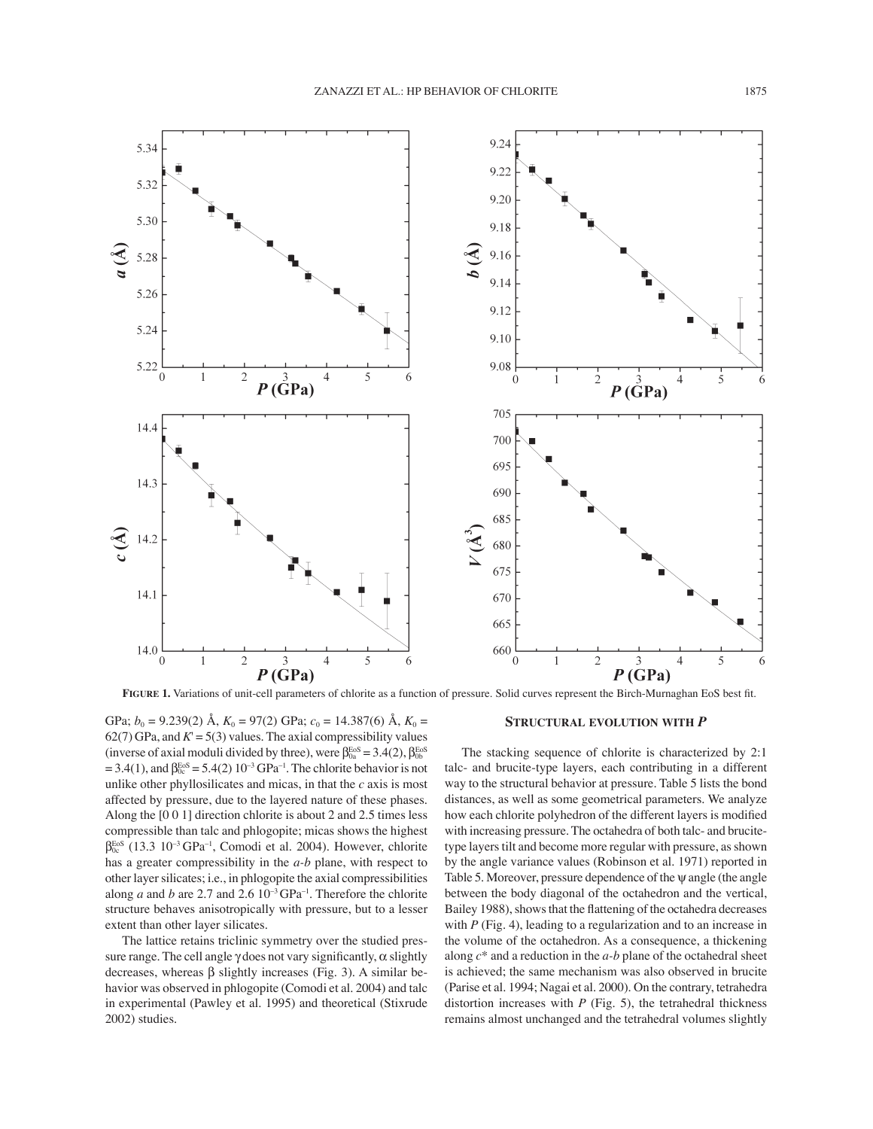

FIGURE 1. Variations of unit-cell parameters of chlorite as a function of pressure. Solid curves represent the Birch-Murnaghan EoS best fit.

GPa;  $b_0 = 9.239(2)$  Å,  $K_0 = 97(2)$  GPa;  $c_0 = 14.387(6)$  Å,  $K_0 =$ 62(7) GPa, and  $K = 5(3)$  values. The axial compressibility values (inverse of axial moduli divided by three), were  $\beta_{0a}^{\text{EoS}} = 3.4(2)$ ,  $\beta_{0b}^{\text{EoS}}$  $= 3.4(1)$ , and  $\beta_{0c}^{EoS} = 5.4(2) 10^{-3} GPa^{-1}$ . The chlorite behavior is not unlike other phyllosilicates and micas, in that the *c* axis is most affected by pressure, due to the layered nature of these phases. Along the [0 0 1] direction chlorite is about 2 and 2.5 times less compressible than talc and phlogopite; micas shows the highest  $\beta_{0c}^{EoS}$  (13.3 10<sup>-3</sup> GPa<sup>-1</sup>, Comodi et al. 2004). However, chlorite has a greater compressibility in the *a-b* plane, with respect to other layer silicates; i.e., in phlogopite the axial compressibilities along *a* and *b* are 2.7 and 2.6  $10^{-3}$  GPa<sup>-1</sup>. Therefore the chlorite structure behaves anisotropically with pressure, but to a lesser extent than other layer silicates.

The lattice retains triclinic symmetry over the studied pressure range. The cell angle  $\gamma$  does not vary significantly,  $\alpha$  slightly decreases, whereas β slightly increases (Fig. 3). A similar behavior was observed in phlogopite (Comodi et al. 2004) and talc in experimental (Pawley et al. 1995) and theoretical (Stixrude 2002) studies.

### **STRUCTURAL EVOLUTION WITH** *P*

The stacking sequence of chlorite is characterized by 2:1 talc- and brucite-type layers, each contributing in a different way to the structural behavior at pressure. Table 5 lists the bond distances, as well as some geometrical parameters. We analyze how each chlorite polyhedron of the different layers is modified with increasing pressure. The octahedra of both talc- and brucitetype layers tilt and become more regular with pressure, as shown by the angle variance values (Robinson et al. 1971) reported in Table 5. Moreover, pressure dependence of the  $\psi$  angle (the angle between the body diagonal of the octahedron and the vertical, Bailey 1988), shows that the flattening of the octahedra decreases with *P* (Fig. 4), leading to a regularization and to an increase in the volume of the octahedron. As a consequence, a thickening along *c*\* and a reduction in the *a-b* plane of the octahedral sheet is achieved; the same mechanism was also observed in brucite (Parise et al. 1994; Nagai et al. 2000). On the contrary, tetrahedra distortion increases with  $P$  (Fig. 5), the tetrahedral thickness remains almost unchanged and the tetrahedral volumes slightly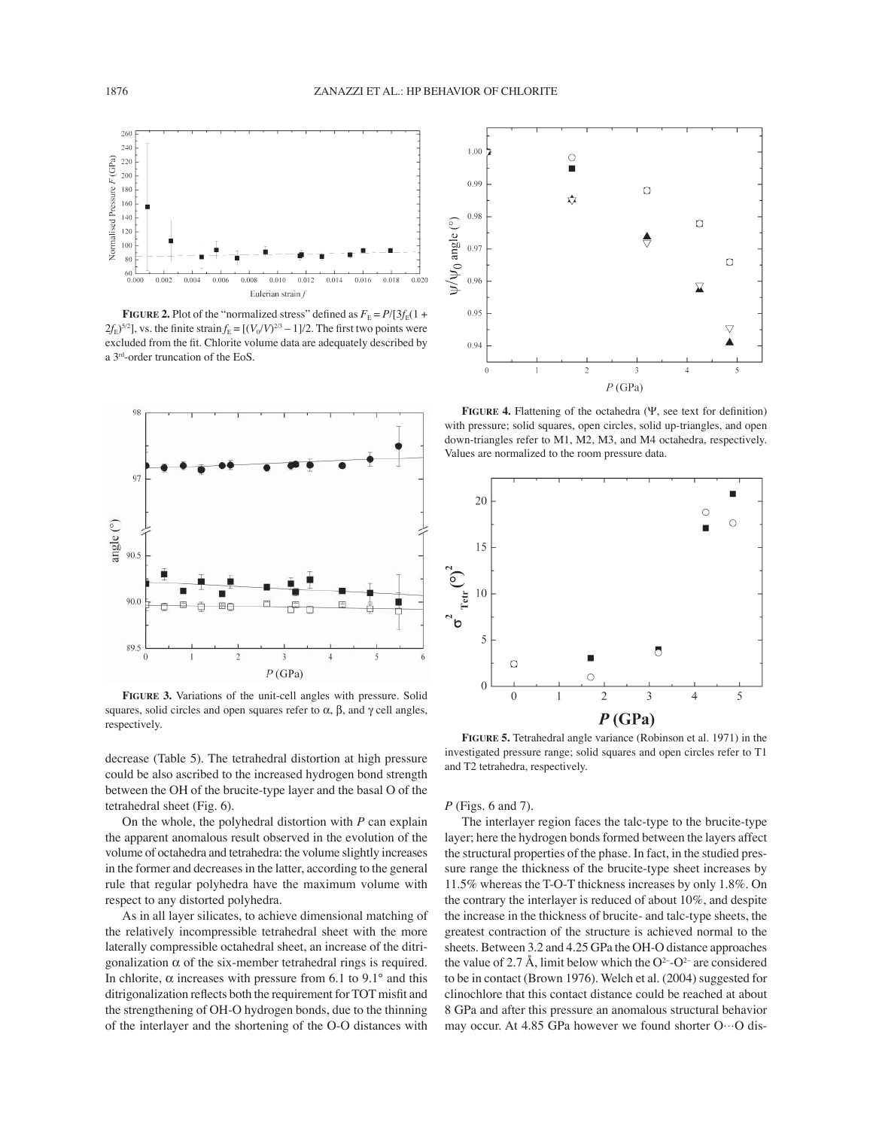

**FIGURE 2.** Plot of the "normalized stress" defined as  $F_E = P/[3f_E(1 +$  $2f_{\rm E}$ <sup>5/2</sup>], vs. the finite strain  $f_{\rm E} = [(V_0/V)^{2/3} - 1]/2$ . The first two points were excluded from the fit. Chlorite volume data are adequately described by a 3rd-order truncation of the EoS.



**FIGURE 3.** Variations of the unit-cell angles with pressure. Solid squares, solid circles and open squares refer to  $\alpha$ ,  $\beta$ , and  $\gamma$  cell angles, respectively.

decrease (Table 5). The tetrahedral distortion at high pressure could be also ascribed to the increased hydrogen bond strength between the OH of the brucite-type layer and the basal O of the tetrahedral sheet (Fig. 6).

On the whole, the polyhedral distortion with *P* can explain the apparent anomalous result observed in the evolution of the volume of octahedra and tetrahedra: the volume slightly increases in the former and decreases in the latter, according to the general rule that regular polyhedra have the maximum volume with respect to any distorted polyhedra.

As in all layer silicates, to achieve dimensional matching of the relatively incompressible tetrahedral sheet with the more laterally compressible octahedral sheet, an increase of the ditrigonalization  $\alpha$  of the six-member tetrahedral rings is required. In chlorite,  $\alpha$  increases with pressure from 6.1 to 9.1° and this ditrigonalization reflects both the requirement for TOT misfit and the strengthening of OH-O hydrogen bonds, due to the thinning of the interlayer and the shortening of the O-O distances with



**FIGURE 4.** Flattening of the octahedra  $(\Psi)$ , see text for definition) with pressure; solid squares, open circles, solid up-triangles, and open down-triangles refer to M1, M2, M3, and M4 octahedra, respectively. Values are normalized to the room pressure data.



**FIGURE 5.** Tetrahedral angle variance (Robinson et al. 1971) in the investigated pressure range; solid squares and open circles refer to T1 and T2 tetrahedra, respectively.

### *P* (Figs. 6 and 7).

The interlayer region faces the talc-type to the brucite-type layer; here the hydrogen bonds formed between the layers affect the structural properties of the phase. In fact, in the studied pressure range the thickness of the brucite-type sheet increases by 11.5% whereas the T-O-T thickness increases by only 1.8%. On the contrary the interlayer is reduced of about 10%, and despite the increase in the thickness of brucite- and talc-type sheets, the greatest contraction of the structure is achieved normal to the sheets. Between 3.2 and 4.25 GPa the OH-O distance approaches the value of 2.7 Å, limit below which the  $O^{2-}O^{2-}$  are considered to be in contact (Brown 1976). Welch et al. (2004) suggested for clinochlore that this contact distance could be reached at about 8 GPa and after this pressure an anomalous structural behavior may occur. At 4.85 GPa however we found shorter O…O dis-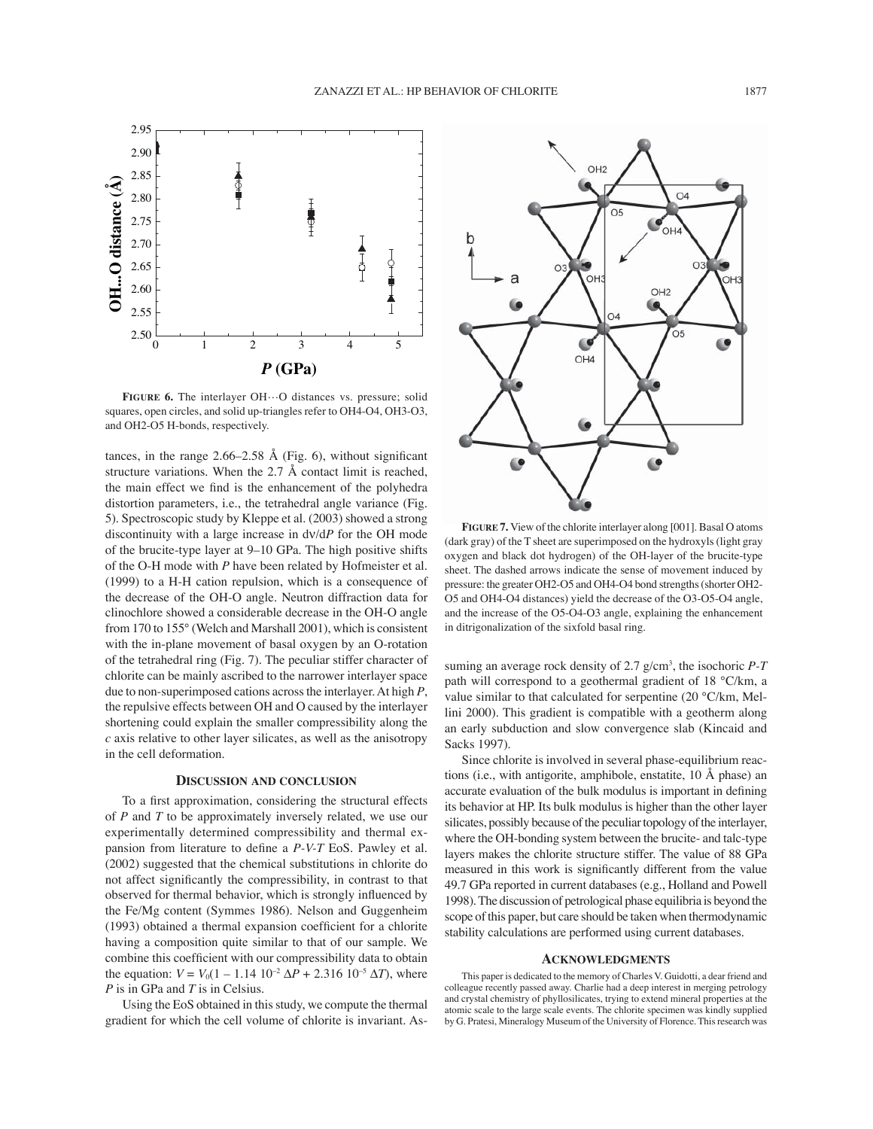

FIGURE 6. The interlayer OH···O distances vs. pressure; solid squares, open circles, and solid up-triangles refer to OH4-O4, OH3-O3, and OH2-O5 H-bonds, respectively.

tances, in the range  $2.66-2.58$  Å (Fig. 6), without significant structure variations. When the 2.7 Å contact limit is reached, the main effect we find is the enhancement of the polyhedra distortion parameters, i.e., the tetrahedral angle variance (Fig. 5). Spectroscopic study by Kleppe et al. (2003) showed a strong discontinuity with a large increase in dν/d*P* for the OH mode of the brucite-type layer at 9–10 GPa. The high positive shifts of the O-H mode with *P* have been related by Hofmeister et al. (1999) to a H-H cation repulsion, which is a consequence of the decrease of the OH-O angle. Neutron diffraction data for clinochlore showed a considerable decrease in the OH-O angle from 170 to 155° (Welch and Marshall 2001), which is consistent with the in-plane movement of basal oxygen by an O-rotation of the tetrahedral ring (Fig. 7). The peculiar stiffer character of chlorite can be mainly ascribed to the narrower interlayer space due to non-superimposed cations across the interlayer. At high *P*, the repulsive effects between OH and O caused by the interlayer shortening could explain the smaller compressibility along the *c* axis relative to other layer silicates, as well as the anisotropy in the cell deformation.

#### **DISCUSSION AND CONCLUSION**

To a first approximation, considering the structural effects of *P* and *T* to be approximately inversely related, we use our experimentally determined compressibility and thermal expansion from literature to define a *P-V-T* EoS. Pawley et al. (2002) suggested that the chemical substitutions in chlorite do not affect significantly the compressibility, in contrast to that observed for thermal behavior, which is strongly influenced by the Fe/Mg content (Symmes 1986). Nelson and Guggenheim  $(1993)$  obtained a thermal expansion coefficient for a chlorite having a composition quite similar to that of our sample. We combine this coefficient with our compressibility data to obtain the equation:  $V = V_0(1 - 1.14 \ 10^{-2} \Delta P + 2.316 \ 10^{-5} \Delta T)$ , where *P* is in GPa and *T* is in Celsius.

Using the EoS obtained in this study, we compute the thermal gradient for which the cell volume of chlorite is invariant. As-



**FIGURE 7.** View of the chlorite interlayer along [001]. Basal O atoms (dark gray) of the T sheet are superimposed on the hydroxyls (light gray oxygen and black dot hydrogen) of the OH-layer of the brucite-type sheet. The dashed arrows indicate the sense of movement induced by pressure: the greater OH2-O5 and OH4-O4 bond strengths (shorter OH2- O5 and OH4-O4 distances) yield the decrease of the O3-O5-O4 angle, and the increase of the O5-O4-O3 angle, explaining the enhancement in ditrigonalization of the sixfold basal ring.

suming an average rock density of 2.7 g/cm<sup>3</sup>, the isochoric *P-T* path will correspond to a geothermal gradient of 18 °C/km, a value similar to that calculated for serpentine (20 °C/km, Mellini 2000). This gradient is compatible with a geotherm along an early subduction and slow convergence slab (Kincaid and Sacks 1997).

Since chlorite is involved in several phase-equilibrium reactions (i.e., with antigorite, amphibole, enstatite, 10 Å phase) an accurate evaluation of the bulk modulus is important in defining its behavior at HP. Its bulk modulus is higher than the other layer silicates, possibly because of the peculiar topology of the interlayer, where the OH-bonding system between the brucite- and talc-type layers makes the chlorite structure stiffer. The value of 88 GPa measured in this work is significantly different from the value 49.7 GPa reported in current databases (e.g., Holland and Powell 1998). The discussion of petrological phase equilibria is beyond the scope of this paper, but care should be taken when thermodynamic stability calculations are performed using current databases.

#### **ACKNOWLEDGMENTS**

This paper is dedicated to the memory of Charles V. Guidotti, a dear friend and colleague recently passed away. Charlie had a deep interest in merging petrology and crystal chemistry of phyllosilicates, trying to extend mineral properties at the atomic scale to the large scale events. The chlorite specimen was kindly supplied by G. Pratesi, Mineralogy Museum of the University of Florence. This research was